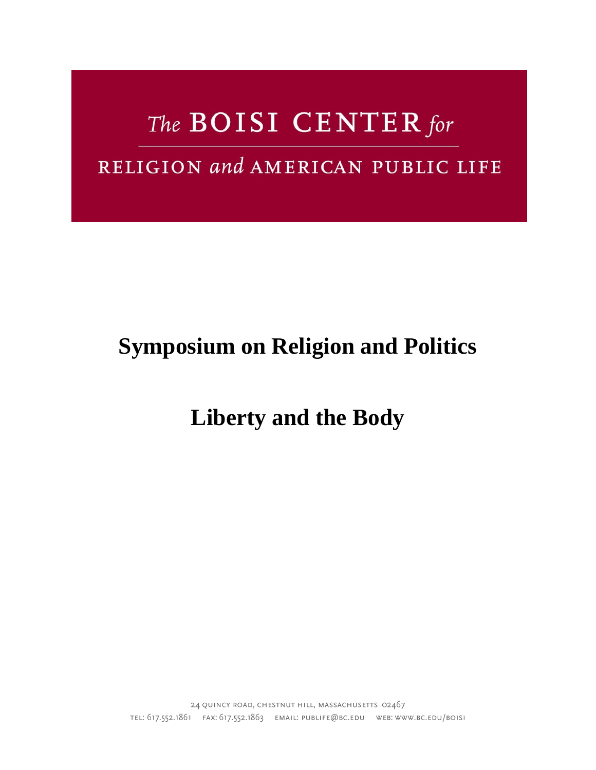# The BOISI CENTER for

## RELIGION and AMERICAN PUBLIC LIFE

## **Symposium on Religion and Politics**

## **Liberty and the Body**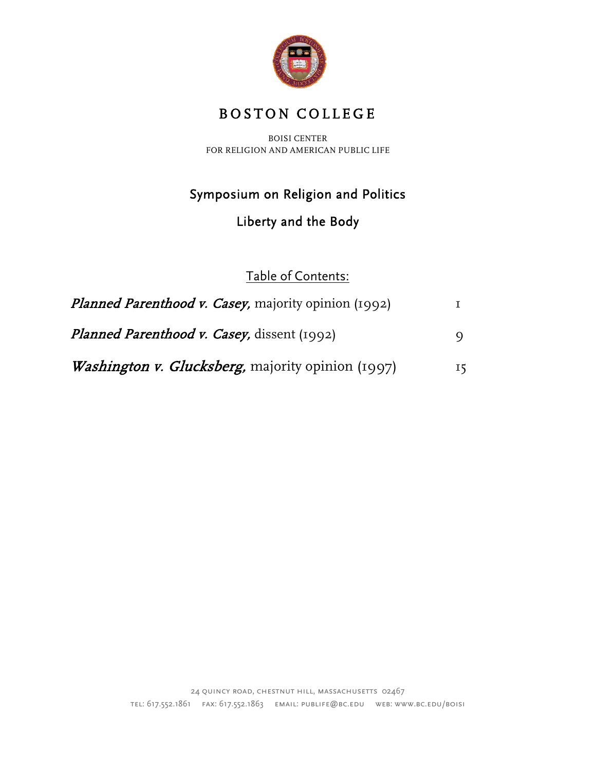

### BOSTON COLLEGE

BOISI CENTER FOR RELIGION AND AMERICAN PUBLIC LIFE

## Symposium on Religion and Politics

## Liberty and the Body

### Table of Contents:

| Planned Parenthood v. Casey, majority opinion (1992)             |  |
|------------------------------------------------------------------|--|
| <i>Planned Parenthood v. Casey, dissent (1992)</i>               |  |
| <b><i>Washington v. Glucksberg</i></b> , majority opinion (1997) |  |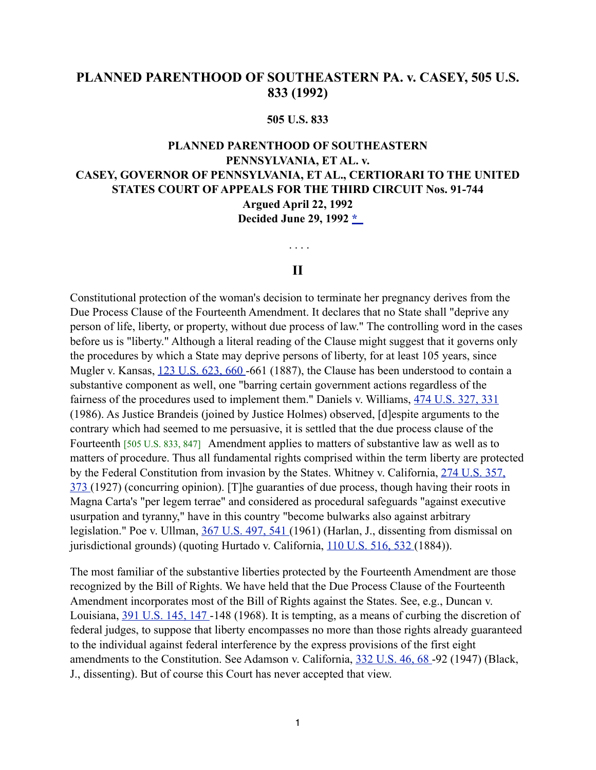#### **PLANNED PARENTHOOD OF SOUTHEASTERN PA. v. CASEY, 505 U.S. 833 (1992)**

#### **505 U.S. 833**

#### **PLANNED PARENTHOOD OF SOUTHEASTERN PENNSYLVANIA, ET AL. v. CASEY, GOVERNOR OF PENNSYLVANIA, ET AL., CERTIORARI TO THE UNITED STATES COURT OF APPEALS FOR THE THIRD CIRCUIT Nos. 91-744 Argued April 22, 1992 Decided June 29, 1992 [\\*](http://caselaw.lp.findlaw.com/scripts/getcase.pl?court=US&vol=505&invol=833#f*)**

#### **II**

. . . .

Constitutional protection of the woman's decision to terminate her pregnancy derives from the Due Process Clause of the Fourteenth Amendment. It declares that no State shall "deprive any person of life, liberty, or property, without due process of law." The controlling word in the cases before us is "liberty." Although a literal reading of the Clause might suggest that it governs only the procedures by which a State may deprive persons of liberty, for at least 105 years, since Mugler v. Kansas, [123 U.S. 623, 660 -](http://caselaw.lp.findlaw.com/cgi-bin/getcase.pl?court=us&vol=123&invol=623#660)661 (1887), the Clause has been understood to contain a substantive component as well, one "barring certain government actions regardless of the fairness of the procedures used to implement them." Daniels v. Williams, [474 U.S. 327, 331](http://caselaw.lp.findlaw.com/cgi-bin/getcase.pl?navby=case&court=us&vol=474&invol=327#331)  (1986). As Justice Brandeis (joined by Justice Holmes) observed, [d]espite arguments to the contrary which had seemed to me persuasive, it is settled that the due process clause of the Fourteenth [505 U.S. 833, 847] Amendment applies to matters of substantive law as well as to matters of procedure. Thus all fundamental rights comprised within the term liberty are protected by the Federal Constitution from invasion by the States. Whitney v. California, [274 U.S. 357,](http://caselaw.lp.findlaw.com/cgi-bin/getcase.pl?court=us&vol=274&invol=357#373)  [373](http://caselaw.lp.findlaw.com/cgi-bin/getcase.pl?court=us&vol=274&invol=357#373) (1927) (concurring opinion). [T]he guaranties of due process, though having their roots in Magna Carta's "per legem terrae" and considered as procedural safeguards "against executive usurpation and tyranny," have in this country "become bulwarks also against arbitrary legislation." Poe v. Ullman, [367 U.S. 497, 541](http://caselaw.lp.findlaw.com/cgi-bin/getcase.pl?navby=case&court=us&vol=367&invol=497#541) (1961) (Harlan, J., dissenting from dismissal on jurisdictional grounds) (quoting Hurtado v. California, [110 U.S. 516, 532 \(](http://caselaw.lp.findlaw.com/cgi-bin/getcase.pl?court=us&vol=110&invol=516#532)1884)).

The most familiar of the substantive liberties protected by the Fourteenth Amendment are those recognized by the Bill of Rights. We have held that the Due Process Clause of the Fourteenth Amendment incorporates most of the Bill of Rights against the States. See, e.g., Duncan v. Louisiana, [391 U.S. 145, 147 -](http://caselaw.lp.findlaw.com/cgi-bin/getcase.pl?navby=case&court=us&vol=391&invol=145#147)148 (1968). It is tempting, as a means of curbing the discretion of federal judges, to suppose that liberty encompasses no more than those rights already guaranteed to the individual against federal interference by the express provisions of the first eight amendments to the Constitution. See Adamson v. California, [332 U.S. 46, 68 -](http://caselaw.lp.findlaw.com/cgi-bin/getcase.pl?navby=case&court=us&vol=332&invol=46#68)92 (1947) (Black, J., dissenting). But of course this Court has never accepted that view.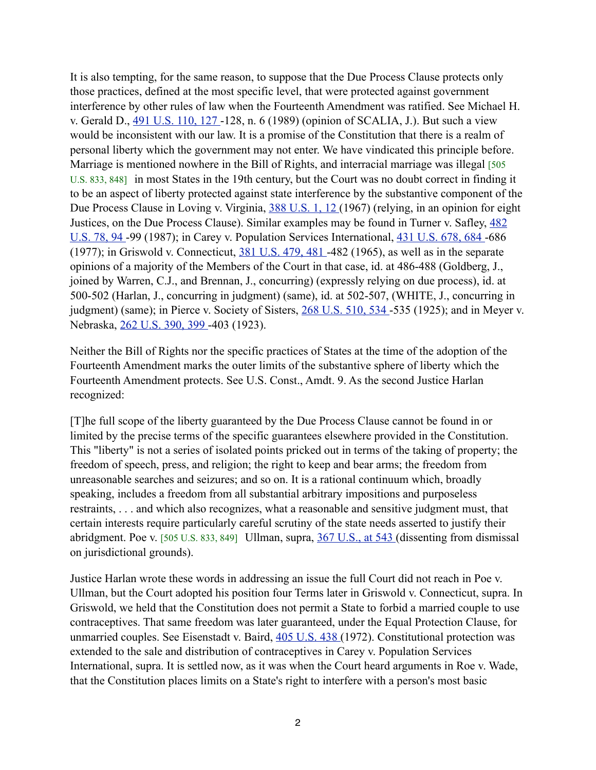It is also tempting, for the same reason, to suppose that the Due Process Clause protects only those practices, defined at the most specific level, that were protected against government interference by other rules of law when the Fourteenth Amendment was ratified. See Michael H. v. Gerald D., [491 U.S. 110, 127](http://caselaw.lp.findlaw.com/cgi-bin/getcase.pl?navby=case&court=us&vol=491&invol=110#127) -128, n. 6 (1989) (opinion of SCALIA, J.). But such a view would be inconsistent with our law. It is a promise of the Constitution that there is a realm of personal liberty which the government may not enter. We have vindicated this principle before. Marriage is mentioned nowhere in the Bill of Rights, and interracial marriage was illegal [505 U.S. 833, 848] in most States in the 19th century, but the Court was no doubt correct in finding it to be an aspect of liberty protected against state interference by the substantive component of the Due Process Clause in Loving v. Virginia, [388 U.S. 1, 12 \(](http://caselaw.lp.findlaw.com/cgi-bin/getcase.pl?navby=case&court=us&vol=388&invol=1#12)1967) (relying, in an opinion for eight Justices, on the Due Process Clause). Similar examples may be found in Turner v. Safley, [482](http://caselaw.lp.findlaw.com/cgi-bin/getcase.pl?navby=case&court=us&vol=482&invol=78#94)  [U.S. 78, 94](http://caselaw.lp.findlaw.com/cgi-bin/getcase.pl?navby=case&court=us&vol=482&invol=78#94) -99 (1987); in Carey v. Population Services International, [431 U.S. 678, 684](http://caselaw.lp.findlaw.com/cgi-bin/getcase.pl?navby=case&court=us&vol=431&invol=678#684) -686 (1977); in Griswold v. Connecticut,  $381$  U.S.  $479$ ,  $481$ - $482$  (1965), as well as in the separate opinions of a majority of the Members of the Court in that case, id. at 486-488 (Goldberg, J., joined by Warren, C.J., and Brennan, J., concurring) (expressly relying on due process), id. at 500-502 (Harlan, J., concurring in judgment) (same), id. at 502-507, (WHITE, J., concurring in judgment) (same); in Pierce v. Society of Sisters, [268 U.S. 510, 534](http://caselaw.lp.findlaw.com/cgi-bin/getcase.pl?court=us&vol=268&invol=510#534) -535 (1925); and in Meyer v. Nebraska, [262 U.S. 390, 399 -](http://caselaw.lp.findlaw.com/cgi-bin/getcase.pl?court=us&vol=262&invol=390#399)403 (1923).

Neither the Bill of Rights nor the specific practices of States at the time of the adoption of the Fourteenth Amendment marks the outer limits of the substantive sphere of liberty which the Fourteenth Amendment protects. See U.S. Const., Amdt. 9. As the second Justice Harlan recognized:

[T]he full scope of the liberty guaranteed by the Due Process Clause cannot be found in or limited by the precise terms of the specific guarantees elsewhere provided in the Constitution. This "liberty" is not a series of isolated points pricked out in terms of the taking of property; the freedom of speech, press, and religion; the right to keep and bear arms; the freedom from unreasonable searches and seizures; and so on. It is a rational continuum which, broadly speaking, includes a freedom from all substantial arbitrary impositions and purposeless restraints, . . . and which also recognizes, what a reasonable and sensitive judgment must, that certain interests require particularly careful scrutiny of the state needs asserted to justify their abridgment. Poe v. [505 U.S. 833, 849] Ullman, supra, [367 U.S., at 543 \(](http://caselaw.lp.findlaw.com/cgi-bin/getcase.pl?navby=volpage&court=us&vol=367&page=543#543)dissenting from dismissal on jurisdictional grounds).

Justice Harlan wrote these words in addressing an issue the full Court did not reach in Poe v. Ullman, but the Court adopted his position four Terms later in Griswold v. Connecticut, supra. In Griswold, we held that the Constitution does not permit a State to forbid a married couple to use contraceptives. That same freedom was later guaranteed, under the Equal Protection Clause, for unmarried couples. See Eisenstadt v. Baird, [405 U.S. 438 \(](http://caselaw.lp.findlaw.com/cgi-bin/getcase.pl?navby=case&court=us&vol=405&invol=438)1972). Constitutional protection was extended to the sale and distribution of contraceptives in Carey v. Population Services International, supra. It is settled now, as it was when the Court heard arguments in Roe v. Wade, that the Constitution places limits on a State's right to interfere with a person's most basic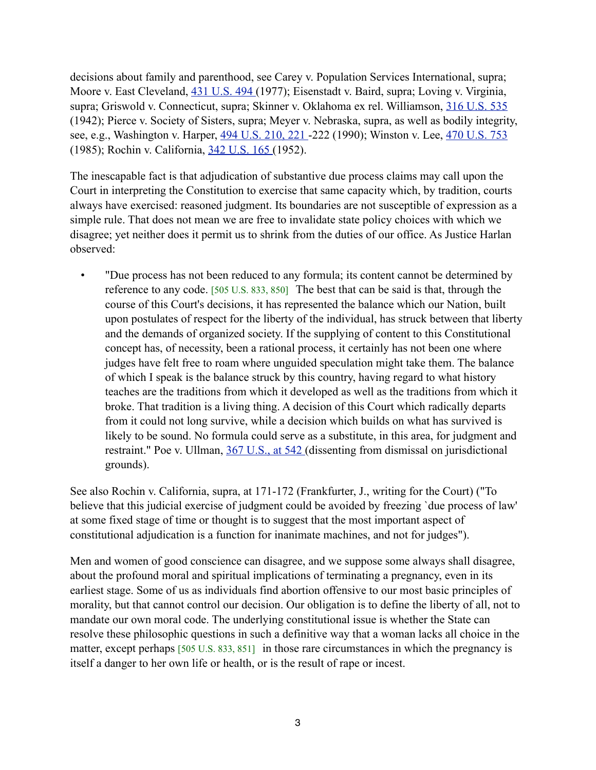decisions about family and parenthood, see Carey v. Population Services International, supra; Moore v. East Cleveland, [431 U.S. 494 \(](http://caselaw.lp.findlaw.com/cgi-bin/getcase.pl?navby=case&court=us&vol=431&invol=494)1977); Eisenstadt v. Baird, supra; Loving v. Virginia, supra; Griswold v. Connecticut, supra; Skinner v. Oklahoma ex rel. Williamson, [316 U.S. 535](http://caselaw.lp.findlaw.com/cgi-bin/getcase.pl?navby=case&court=us&vol=316&invol=535)  (1942); Pierce v. Society of Sisters, supra; Meyer v. Nebraska, supra, as well as bodily integrity, see, e.g., Washington v. Harper, [494 U.S. 210, 221 -](http://caselaw.lp.findlaw.com/cgi-bin/getcase.pl?navby=case&court=us&vol=494&invol=210#221)222 (1990); Winston v. Lee, [470 U.S. 753](http://caselaw.lp.findlaw.com/cgi-bin/getcase.pl?navby=case&court=us&vol=470&invol=753)  (1985); Rochin v. California, [342 U.S. 165](http://caselaw.lp.findlaw.com/cgi-bin/getcase.pl?navby=case&court=us&vol=342&invol=165) (1952).

The inescapable fact is that adjudication of substantive due process claims may call upon the Court in interpreting the Constitution to exercise that same capacity which, by tradition, courts always have exercised: reasoned judgment. Its boundaries are not susceptible of expression as a simple rule. That does not mean we are free to invalidate state policy choices with which we disagree; yet neither does it permit us to shrink from the duties of our office. As Justice Harlan observed:

• "Due process has not been reduced to any formula; its content cannot be determined by reference to any code. [505 U.S. 833, 850] The best that can be said is that, through the course of this Court's decisions, it has represented the balance which our Nation, built upon postulates of respect for the liberty of the individual, has struck between that liberty and the demands of organized society. If the supplying of content to this Constitutional concept has, of necessity, been a rational process, it certainly has not been one where judges have felt free to roam where unguided speculation might take them. The balance of which I speak is the balance struck by this country, having regard to what history teaches are the traditions from which it developed as well as the traditions from which it broke. That tradition is a living thing. A decision of this Court which radically departs from it could not long survive, while a decision which builds on what has survived is likely to be sound. No formula could serve as a substitute, in this area, for judgment and restraint." Poe v. Ullman, [367 U.S., at 542](http://caselaw.lp.findlaw.com/cgi-bin/getcase.pl?navby=volpage&court=us&vol=367&page=542#542) (dissenting from dismissal on jurisdictional grounds).

See also Rochin v. California, supra, at 171-172 (Frankfurter, J., writing for the Court) ("To believe that this judicial exercise of judgment could be avoided by freezing 'due process of law' at some fixed stage of time or thought is to suggest that the most important aspect of constitutional adjudication is a function for inanimate machines, and not for judges").

Men and women of good conscience can disagree, and we suppose some always shall disagree, about the profound moral and spiritual implications of terminating a pregnancy, even in its earliest stage. Some of us as individuals find abortion offensive to our most basic principles of morality, but that cannot control our decision. Our obligation is to define the liberty of all, not to mandate our own moral code. The underlying constitutional issue is whether the State can resolve these philosophic questions in such a definitive way that a woman lacks all choice in the matter, except perhaps [505 U.S. 833, 851] in those rare circumstances in which the pregnancy is itself a danger to her own life or health, or is the result of rape or incest.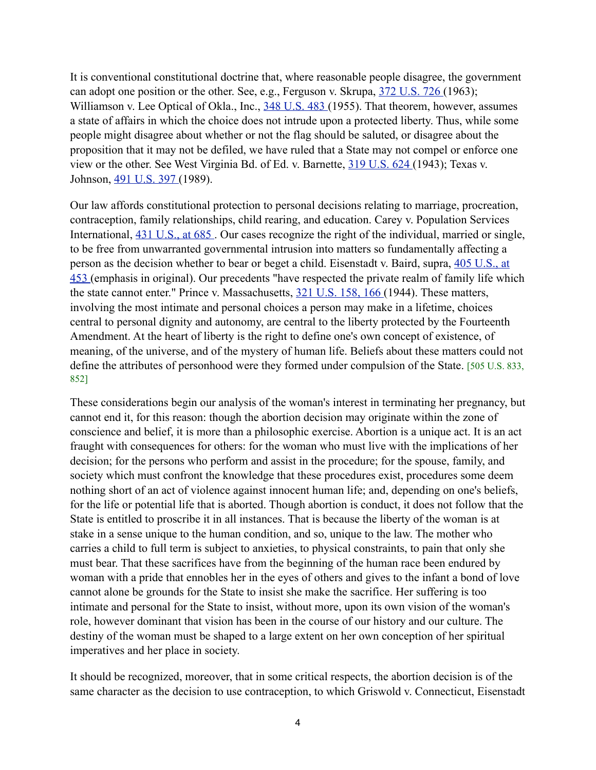It is conventional constitutional doctrine that, where reasonable people disagree, the government can adopt one position or the other. See, e.g., Ferguson v. Skrupa, [372 U.S. 726 \(](http://caselaw.lp.findlaw.com/cgi-bin/getcase.pl?navby=case&court=us&vol=372&invol=726)1963); Williamson v. Lee Optical of Okla., Inc., [348 U.S. 483](http://caselaw.lp.findlaw.com/cgi-bin/getcase.pl?navby=case&court=us&vol=348&invol=483) (1955). That theorem, however, assumes a state of affairs in which the choice does not intrude upon a protected liberty. Thus, while some people might disagree about whether or not the flag should be saluted, or disagree about the proposition that it may not be defiled, we have ruled that a State may not compel or enforce one view or the other. See West Virginia Bd. of Ed. v. Barnette, [319 U.S. 624](http://caselaw.lp.findlaw.com/cgi-bin/getcase.pl?navby=case&court=us&vol=319&invol=624) (1943); Texas v. Johnson, [491 U.S. 397 \(](http://caselaw.lp.findlaw.com/cgi-bin/getcase.pl?navby=case&court=us&vol=491&invol=397)1989).

Our law affords constitutional protection to personal decisions relating to marriage, procreation, contraception, family relationships, child rearing, and education. Carey v. Population Services International,  $431 \text{ U.S.}$ , at  $685$ . Our cases recognize the right of the individual, married or single, to be free from unwarranted governmental intrusion into matters so fundamentally affecting a person as the decision whether to bear or beget a child. Eisenstadt v. Baird, supra, [405 U.S., at](http://caselaw.lp.findlaw.com/cgi-bin/getcase.pl?navby=volpage&court=us&vol=405&page=453#453)  [453](http://caselaw.lp.findlaw.com/cgi-bin/getcase.pl?navby=volpage&court=us&vol=405&page=453#453) (emphasis in original). Our precedents "have respected the private realm of family life which the state cannot enter." Prince v. Massachusetts, [321 U.S. 158, 166](http://caselaw.lp.findlaw.com/cgi-bin/getcase.pl?navby=case&court=us&vol=321&invol=158#166) (1944). These matters, involving the most intimate and personal choices a person may make in a lifetime, choices central to personal dignity and autonomy, are central to the liberty protected by the Fourteenth Amendment. At the heart of liberty is the right to define one's own concept of existence, of meaning, of the universe, and of the mystery of human life. Beliefs about these matters could not define the attributes of personhood were they formed under compulsion of the State. [505 U.S. 833, 852]

These considerations begin our analysis of the woman's interest in terminating her pregnancy, but cannot end it, for this reason: though the abortion decision may originate within the zone of conscience and belief, it is more than a philosophic exercise. Abortion is a unique act. It is an act fraught with consequences for others: for the woman who must live with the implications of her decision; for the persons who perform and assist in the procedure; for the spouse, family, and society which must confront the knowledge that these procedures exist, procedures some deem nothing short of an act of violence against innocent human life; and, depending on one's beliefs, for the life or potential life that is aborted. Though abortion is conduct, it does not follow that the State is entitled to proscribe it in all instances. That is because the liberty of the woman is at stake in a sense unique to the human condition, and so, unique to the law. The mother who carries a child to full term is subject to anxieties, to physical constraints, to pain that only she must bear. That these sacrifices have from the beginning of the human race been endured by woman with a pride that ennobles her in the eyes of others and gives to the infant a bond of love cannot alone be grounds for the State to insist she make the sacrifice. Her suffering is too intimate and personal for the State to insist, without more, upon its own vision of the woman's role, however dominant that vision has been in the course of our history and our culture. The destiny of the woman must be shaped to a large extent on her own conception of her spiritual imperatives and her place in society.

It should be recognized, moreover, that in some critical respects, the abortion decision is of the same character as the decision to use contraception, to which Griswold v. Connecticut, Eisenstadt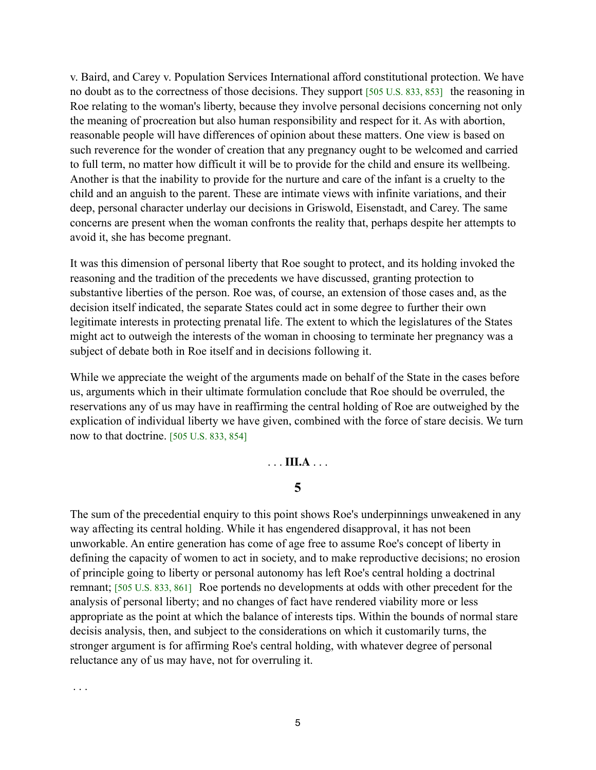v. Baird, and Carey v. Population Services International afford constitutional protection. We have no doubt as to the correctness of those decisions. They support [505 U.S. 833, 853] the reasoning in Roe relating to the woman's liberty, because they involve personal decisions concerning not only the meaning of procreation but also human responsibility and respect for it. As with abortion, reasonable people will have differences of opinion about these matters. One view is based on such reverence for the wonder of creation that any pregnancy ought to be welcomed and carried to full term, no matter how difficult it will be to provide for the child and ensure its wellbeing. Another is that the inability to provide for the nurture and care of the infant is a cruelty to the child and an anguish to the parent. These are intimate views with infinite variations, and their deep, personal character underlay our decisions in Griswold, Eisenstadt, and Carey. The same concerns are present when the woman confronts the reality that, perhaps despite her attempts to avoid it, she has become pregnant.

It was this dimension of personal liberty that Roe sought to protect, and its holding invoked the reasoning and the tradition of the precedents we have discussed, granting protection to substantive liberties of the person. Roe was, of course, an extension of those cases and, as the decision itself indicated, the separate States could act in some degree to further their own legitimate interests in protecting prenatal life. The extent to which the legislatures of the States might act to outweigh the interests of the woman in choosing to terminate her pregnancy was a subject of debate both in Roe itself and in decisions following it.

While we appreciate the weight of the arguments made on behalf of the State in the cases before us, arguments which in their ultimate formulation conclude that Roe should be overruled, the reservations any of us may have in reaffirming the central holding of Roe are outweighed by the explication of individual liberty we have given, combined with the force of stare decisis. We turn now to that doctrine. [505 U.S. 833, 854]

. . . **III.A** . . .

#### **5**

The sum of the precedential enquiry to this point shows Roe's underpinnings unweakened in any way affecting its central holding. While it has engendered disapproval, it has not been unworkable. An entire generation has come of age free to assume Roe's concept of liberty in defining the capacity of women to act in society, and to make reproductive decisions; no erosion of principle going to liberty or personal autonomy has left Roe's central holding a doctrinal remnant; [505 U.S. 833, 861] Roe portends no developments at odds with other precedent for the analysis of personal liberty; and no changes of fact have rendered viability more or less appropriate as the point at which the balance of interests tips. Within the bounds of normal stare decisis analysis, then, and subject to the considerations on which it customarily turns, the stronger argument is for affirming Roe's central holding, with whatever degree of personal reluctance any of us may have, not for overruling it.

. . .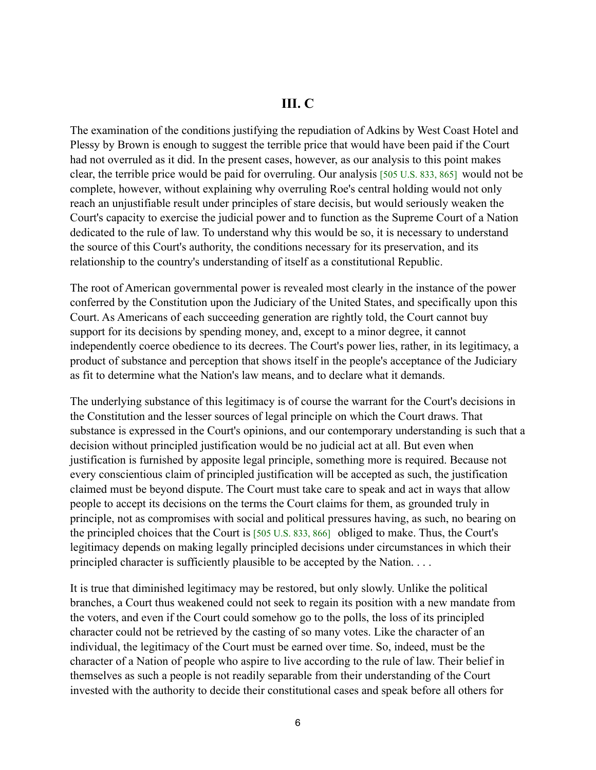#### **III. C**

The examination of the conditions justifying the repudiation of Adkins by West Coast Hotel and Plessy by Brown is enough to suggest the terrible price that would have been paid if the Court had not overruled as it did. In the present cases, however, as our analysis to this point makes clear, the terrible price would be paid for overruling. Our analysis [505 U.S. 833, 865] would not be complete, however, without explaining why overruling Roe's central holding would not only reach an unjustifiable result under principles of stare decisis, but would seriously weaken the Court's capacity to exercise the judicial power and to function as the Supreme Court of a Nation dedicated to the rule of law. To understand why this would be so, it is necessary to understand the source of this Court's authority, the conditions necessary for its preservation, and its relationship to the country's understanding of itself as a constitutional Republic.

The root of American governmental power is revealed most clearly in the instance of the power conferred by the Constitution upon the Judiciary of the United States, and specifically upon this Court. As Americans of each succeeding generation are rightly told, the Court cannot buy support for its decisions by spending money, and, except to a minor degree, it cannot independently coerce obedience to its decrees. The Court's power lies, rather, in its legitimacy, a product of substance and perception that shows itself in the people's acceptance of the Judiciary as fit to determine what the Nation's law means, and to declare what it demands.

The underlying substance of this legitimacy is of course the warrant for the Court's decisions in the Constitution and the lesser sources of legal principle on which the Court draws. That substance is expressed in the Court's opinions, and our contemporary understanding is such that a decision without principled justification would be no judicial act at all. But even when justification is furnished by apposite legal principle, something more is required. Because not every conscientious claim of principled justification will be accepted as such, the justification claimed must be beyond dispute. The Court must take care to speak and act in ways that allow people to accept its decisions on the terms the Court claims for them, as grounded truly in principle, not as compromises with social and political pressures having, as such, no bearing on the principled choices that the Court is [505 U.S. 833, 866] obliged to make. Thus, the Court's legitimacy depends on making legally principled decisions under circumstances in which their principled character is sufficiently plausible to be accepted by the Nation. . . .

It is true that diminished legitimacy may be restored, but only slowly. Unlike the political branches, a Court thus weakened could not seek to regain its position with a new mandate from the voters, and even if the Court could somehow go to the polls, the loss of its principled character could not be retrieved by the casting of so many votes. Like the character of an individual, the legitimacy of the Court must be earned over time. So, indeed, must be the character of a Nation of people who aspire to live according to the rule of law. Their belief in themselves as such a people is not readily separable from their understanding of the Court invested with the authority to decide their constitutional cases and speak before all others for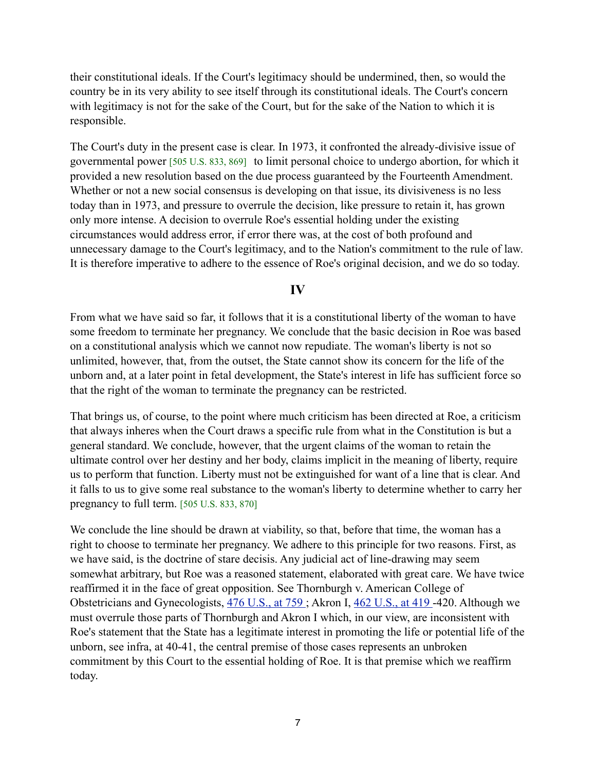their constitutional ideals. If the Court's legitimacy should be undermined, then, so would the country be in its very ability to see itself through its constitutional ideals. The Court's concern with legitimacy is not for the sake of the Court, but for the sake of the Nation to which it is responsible.

The Court's duty in the present case is clear. In 1973, it confronted the already-divisive issue of governmental power [505 U.S. 833, 869] to limit personal choice to undergo abortion, for which it provided a new resolution based on the due process guaranteed by the Fourteenth Amendment. Whether or not a new social consensus is developing on that issue, its divisiveness is no less today than in 1973, and pressure to overrule the decision, like pressure to retain it, has grown only more intense. A decision to overrule Roe's essential holding under the existing circumstances would address error, if error there was, at the cost of both profound and unnecessary damage to the Court's legitimacy, and to the Nation's commitment to the rule of law. It is therefore imperative to adhere to the essence of Roe's original decision, and we do so today.

#### **IV**

From what we have said so far, it follows that it is a constitutional liberty of the woman to have some freedom to terminate her pregnancy. We conclude that the basic decision in Roe was based on a constitutional analysis which we cannot now repudiate. The woman's liberty is not so unlimited, however, that, from the outset, the State cannot show its concern for the life of the unborn and, at a later point in fetal development, the State's interest in life has sufficient force so that the right of the woman to terminate the pregnancy can be restricted.

That brings us, of course, to the point where much criticism has been directed at Roe, a criticism that always inheres when the Court draws a specific rule from what in the Constitution is but a general standard. We conclude, however, that the urgent claims of the woman to retain the ultimate control over her destiny and her body, claims implicit in the meaning of liberty, require us to perform that function. Liberty must not be extinguished for want of a line that is clear. And it falls to us to give some real substance to the woman's liberty to determine whether to carry her pregnancy to full term. [505 U.S. 833, 870]

We conclude the line should be drawn at viability, so that, before that time, the woman has a right to choose to terminate her pregnancy. We adhere to this principle for two reasons. First, as we have said, is the doctrine of stare decisis. Any judicial act of line-drawing may seem somewhat arbitrary, but Roe was a reasoned statement, elaborated with great care. We have twice reaffirmed it in the face of great opposition. See Thornburgh v. American College of Obstetricians and Gynecologists, [476 U.S., at 759](http://caselaw.lp.findlaw.com/cgi-bin/getcase.pl?navby=volpage&court=us&vol=476&page=759#759) ; Akron I, [462 U.S., at 419 -](http://caselaw.lp.findlaw.com/cgi-bin/getcase.pl?navby=volpage&court=us&vol=462&page=419#419)420. Although we must overrule those parts of Thornburgh and Akron I which, in our view, are inconsistent with Roe's statement that the State has a legitimate interest in promoting the life or potential life of the unborn, see infra, at 40-41, the central premise of those cases represents an unbroken commitment by this Court to the essential holding of Roe. It is that premise which we reaffirm today.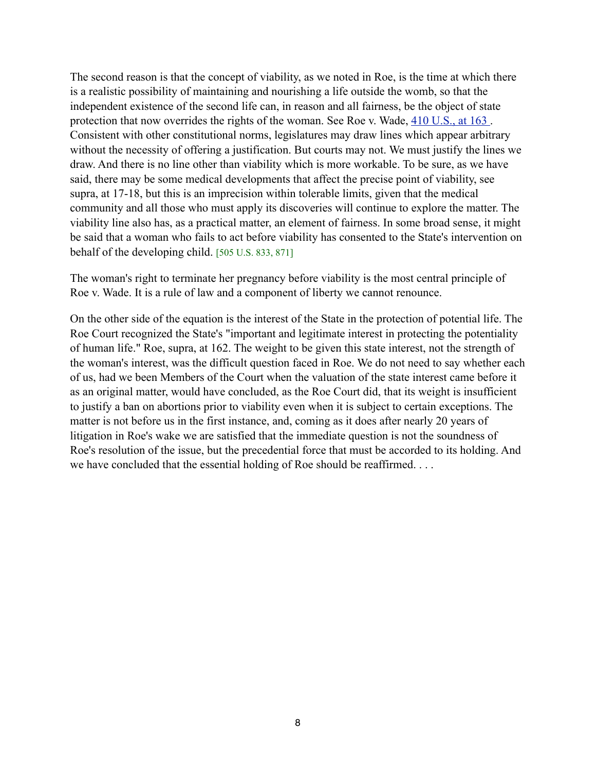The second reason is that the concept of viability, as we noted in Roe, is the time at which there is a realistic possibility of maintaining and nourishing a life outside the womb, so that the independent existence of the second life can, in reason and all fairness, be the object of state protection that now overrides the rights of the woman. See Roe v. Wade, [410 U.S., at 163 .](http://caselaw.lp.findlaw.com/cgi-bin/getcase.pl?navby=volpage&court=us&vol=410&page=163#163) Consistent with other constitutional norms, legislatures may draw lines which appear arbitrary without the necessity of offering a justification. But courts may not. We must justify the lines we draw. And there is no line other than viability which is more workable. To be sure, as we have said, there may be some medical developments that affect the precise point of viability, see supra, at 17-18, but this is an imprecision within tolerable limits, given that the medical community and all those who must apply its discoveries will continue to explore the matter. The viability line also has, as a practical matter, an element of fairness. In some broad sense, it might be said that a woman who fails to act before viability has consented to the State's intervention on behalf of the developing child. [505 U.S. 833, 871]

The woman's right to terminate her pregnancy before viability is the most central principle of Roe v. Wade. It is a rule of law and a component of liberty we cannot renounce.

On the other side of the equation is the interest of the State in the protection of potential life. The Roe Court recognized the State's "important and legitimate interest in protecting the potentiality of human life." Roe, supra, at 162. The weight to be given this state interest, not the strength of the woman's interest, was the difficult question faced in Roe. We do not need to say whether each of us, had we been Members of the Court when the valuation of the state interest came before it as an original matter, would have concluded, as the Roe Court did, that its weight is insufficient to justify a ban on abortions prior to viability even when it is subject to certain exceptions. The matter is not before us in the first instance, and, coming as it does after nearly 20 years of litigation in Roe's wake we are satisfied that the immediate question is not the soundness of Roe's resolution of the issue, but the precedential force that must be accorded to its holding. And we have concluded that the essential holding of Roe should be reaffirmed. . . .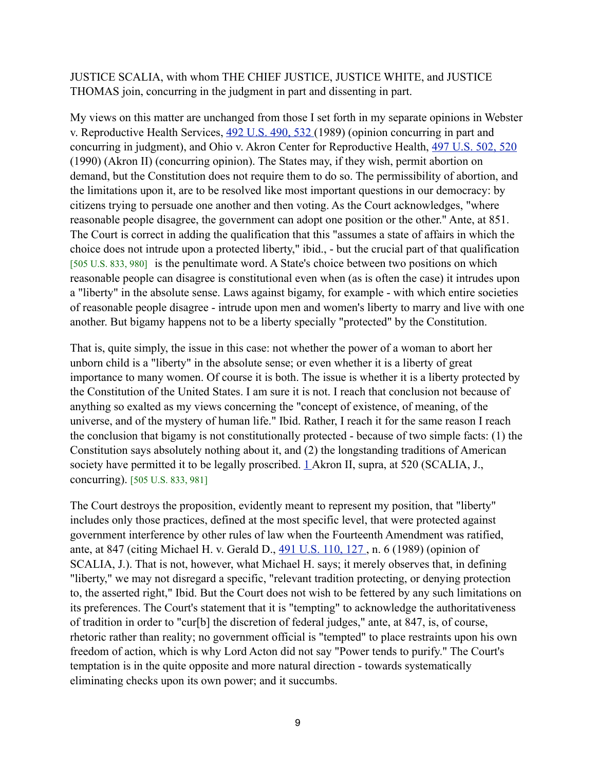#### JUSTICE SCALIA, with whom THE CHIEF JUSTICE, JUSTICE WHITE, and JUSTICE THOMAS join, concurring in the judgment in part and dissenting in part.

My views on this matter are unchanged from those I set forth in my separate opinions in Webster v. Reproductive Health Services, [492 U.S. 490, 532 \(](http://caselaw.lp.findlaw.com/cgi-bin/getcase.pl?navby=case&court=us&vol=492&invol=490#532)1989) (opinion concurring in part and concurring in judgment), and Ohio v. Akron Center for Reproductive Health, [497 U.S. 502, 520](http://caselaw.lp.findlaw.com/cgi-bin/getcase.pl?navby=case&court=us&vol=497&invol=502#520)  (1990) (Akron II) (concurring opinion). The States may, if they wish, permit abortion on demand, but the Constitution does not require them to do so. The permissibility of abortion, and the limitations upon it, are to be resolved like most important questions in our democracy: by citizens trying to persuade one another and then voting. As the Court acknowledges, "where reasonable people disagree, the government can adopt one position or the other." Ante, at 851. The Court is correct in adding the qualification that this "assumes a state of affairs in which the choice does not intrude upon a protected liberty," ibid., - but the crucial part of that qualification [505 U.S. 833, 980] is the penultimate word. A State's choice between two positions on which reasonable people can disagree is constitutional even when (as is often the case) it intrudes upon a "liberty" in the absolute sense. Laws against bigamy, for example - with which entire societies of reasonable people disagree - intrude upon men and women's liberty to marry and live with one another. But bigamy happens not to be a liberty specially "protected" by the Constitution.

That is, quite simply, the issue in this case: not whether the power of a woman to abort her unborn child is a "liberty" in the absolute sense; or even whether it is a liberty of great importance to many women. Of course it is both. The issue is whether it is a liberty protected by the Constitution of the United States. I am sure it is not. I reach that conclusion not because of anything so exalted as my views concerning the "concept of existence, of meaning, of the universe, and of the mystery of human life." Ibid. Rather, I reach it for the same reason I reach the conclusion that bigamy is not constitutionally protected - because of two simple facts: (1) the Constitution says absolutely nothing about it, and (2) the longstanding traditions of American society have permitted it to be legally proscribed. **1** Akron II, supra, at 520 (SCALIA, J., concurring). [505 U.S. 833, 981]

The Court destroys the proposition, evidently meant to represent my position, that "liberty" includes only those practices, defined at the most specific level, that were protected against government interference by other rules of law when the Fourteenth Amendment was ratified, ante, at 847 (citing Michael H. v. Gerald D., [491 U.S. 110, 127](http://caselaw.lp.findlaw.com/cgi-bin/getcase.pl?navby=case&court=us&vol=491&invol=110#127) , n. 6 (1989) (opinion of SCALIA, J.). That is not, however, what Michael H. says; it merely observes that, in defining "liberty," we may not disregard a specific, "relevant tradition protecting, or denying protection to, the asserted right," Ibid. But the Court does not wish to be fettered by any such limitations on its preferences. The Court's statement that it is "tempting" to acknowledge the authoritativeness of tradition in order to "cur[b] the discretion of federal judges," ante, at 847, is, of course, rhetoric rather than reality; no government official is "tempted" to place restraints upon his own freedom of action, which is why Lord Acton did not say "Power tends to purify." The Court's temptation is in the quite opposite and more natural direction - towards systematically eliminating checks upon its own power; and it succumbs.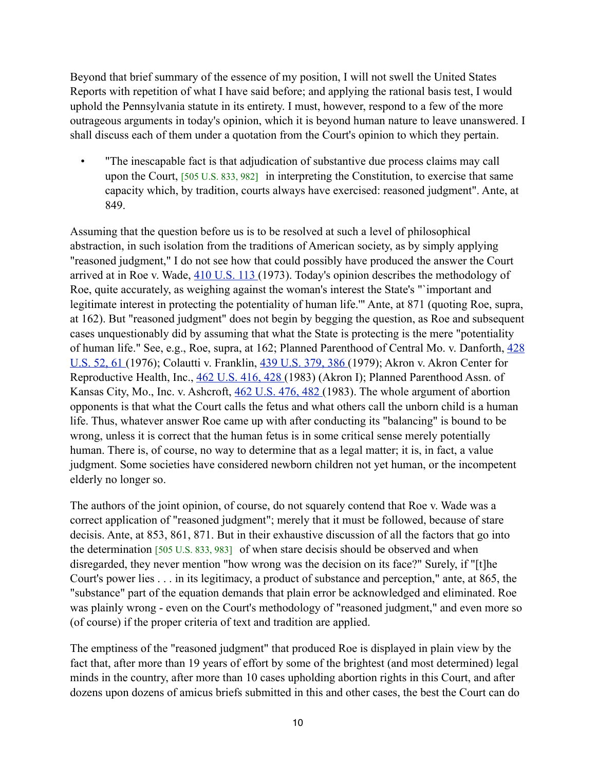Beyond that brief summary of the essence of my position, I will not swell the United States Reports with repetition of what I have said before; and applying the rational basis test, I would uphold the Pennsylvania statute in its entirety. I must, however, respond to a few of the more outrageous arguments in today's opinion, which it is beyond human nature to leave unanswered. I shall discuss each of them under a quotation from the Court's opinion to which they pertain.

• "The inescapable fact is that adjudication of substantive due process claims may call upon the Court, [505 U.S. 833, 982] in interpreting the Constitution, to exercise that same capacity which, by tradition, courts always have exercised: reasoned judgment". Ante, at 849.

Assuming that the question before us is to be resolved at such a level of philosophical abstraction, in such isolation from the traditions of American society, as by simply applying "reasoned judgment," I do not see how that could possibly have produced the answer the Court arrived at in Roe v. Wade,  $410$  U.S. 113 (1973). Today's opinion describes the methodology of Roe, quite accurately, as weighing against the woman's interest the State's "`important and legitimate interest in protecting the potentiality of human life.'" Ante, at 871 (quoting Roe, supra, at 162). But "reasoned judgment" does not begin by begging the question, as Roe and subsequent cases unquestionably did by assuming that what the State is protecting is the mere "potentiality of human life." See, e.g., Roe, supra, at 162; Planned Parenthood of Central Mo. v. Danforth, [428](http://caselaw.lp.findlaw.com/cgi-bin/getcase.pl?navby=case&court=us&vol=428&invol=52#61) [U.S. 52, 61](http://caselaw.lp.findlaw.com/cgi-bin/getcase.pl?navby=case&court=us&vol=428&invol=52#61) (1976); Colautti v. Franklin, [439 U.S. 379, 386 \(](http://caselaw.lp.findlaw.com/cgi-bin/getcase.pl?navby=case&court=us&vol=439&invol=379#386)1979); Akron v. Akron Center for Reproductive Health, Inc., [462 U.S. 416, 428](http://caselaw.lp.findlaw.com/cgi-bin/getcase.pl?navby=case&court=us&vol=462&invol=416#428) (1983) (Akron I); Planned Parenthood Assn. of Kansas City, Mo., Inc. v. Ashcroft, [462 U.S. 476, 482](http://caselaw.lp.findlaw.com/cgi-bin/getcase.pl?navby=case&court=us&vol=462&invol=476#482) (1983). The whole argument of abortion opponents is that what the Court calls the fetus and what others call the unborn child is a human life. Thus, whatever answer Roe came up with after conducting its "balancing" is bound to be wrong, unless it is correct that the human fetus is in some critical sense merely potentially human. There is, of course, no way to determine that as a legal matter; it is, in fact, a value judgment. Some societies have considered newborn children not yet human, or the incompetent elderly no longer so.

The authors of the joint opinion, of course, do not squarely contend that Roe v. Wade was a correct application of "reasoned judgment"; merely that it must be followed, because of stare decisis. Ante, at 853, 861, 871. But in their exhaustive discussion of all the factors that go into the determination [505 U.S. 833, 983] of when stare decisis should be observed and when disregarded, they never mention "how wrong was the decision on its face?" Surely, if "[t]he Court's power lies . . . in its legitimacy, a product of substance and perception," ante, at 865, the "substance" part of the equation demands that plain error be acknowledged and eliminated. Roe was plainly wrong - even on the Court's methodology of "reasoned judgment," and even more so (of course) if the proper criteria of text and tradition are applied.

The emptiness of the "reasoned judgment" that produced Roe is displayed in plain view by the fact that, after more than 19 years of effort by some of the brightest (and most determined) legal minds in the country, after more than 10 cases upholding abortion rights in this Court, and after dozens upon dozens of amicus briefs submitted in this and other cases, the best the Court can do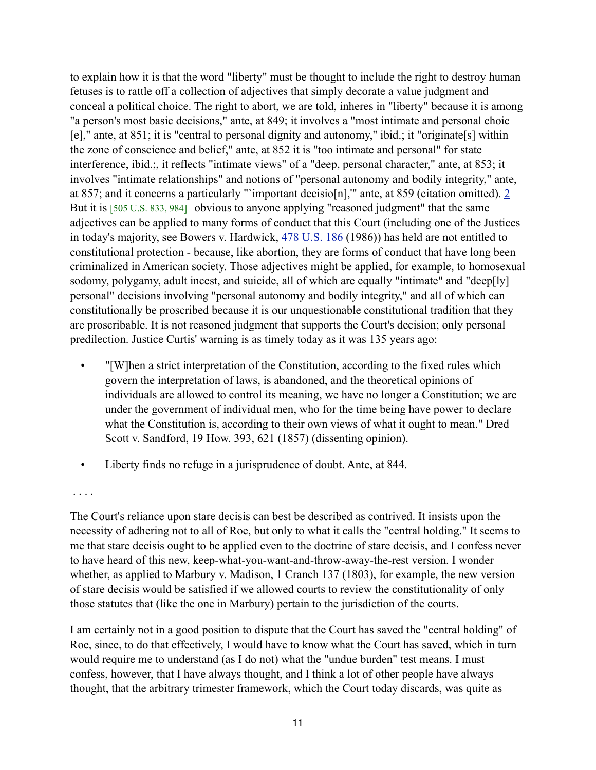to explain how it is that the word "liberty" must be thought to include the right to destroy human fetuses is to rattle off a collection of adjectives that simply decorate a value judgment and conceal a political choice. The right to abort, we are told, inheres in "liberty" because it is among "a person's most basic decisions," ante, at 849; it involves a "most intimate and personal choic [e]," ante, at 851; it is "central to personal dignity and autonomy," ibid.; it "originate[s] within the zone of conscience and belief," ante, at 852 it is "too intimate and personal" for state interference, ibid.;, it reflects "intimate views" of a "deep, personal character," ante, at 853; it involves "intimate relationships" and notions of "personal autonomy and bodily integrity," ante, at 857; and it concerns a particularly "'important decisio[n]," ante, at 859 (citation omitted). 2 But it is [505 U.S. 833, 984] obvious to anyone applying "reasoned judgment" that the same adjectives can be applied to many forms of conduct that this Court (including one of the Justices in today's majority, see Bowers v. Hardwick, [478 U.S. 186 \(](http://caselaw.lp.findlaw.com/cgi-bin/getcase.pl?navby=case&court=us&vol=478&invol=186)1986)) has held are not entitled to constitutional protection - because, like abortion, they are forms of conduct that have long been criminalized in American society. Those adjectives might be applied, for example, to homosexual sodomy, polygamy, adult incest, and suicide, all of which are equally "intimate" and "deep[ly] personal" decisions involving "personal autonomy and bodily integrity," and all of which can constitutionally be proscribed because it is our unquestionable constitutional tradition that they are proscribable. It is not reasoned judgment that supports the Court's decision; only personal predilection. Justice Curtis' warning is as timely today as it was 135 years ago:

- "[W]hen a strict interpretation of the Constitution, according to the fixed rules which govern the interpretation of laws, is abandoned, and the theoretical opinions of individuals are allowed to control its meaning, we have no longer a Constitution; we are under the government of individual men, who for the time being have power to declare what the Constitution is, according to their own views of what it ought to mean." Dred Scott v. Sandford, 19 How. 393, 621 (1857) (dissenting opinion).
- Liberty finds no refuge in a jurisprudence of doubt. Ante, at 844.

. . . .

The Court's reliance upon stare decisis can best be described as contrived. It insists upon the necessity of adhering not to all of Roe, but only to what it calls the "central holding." It seems to me that stare decisis ought to be applied even to the doctrine of stare decisis, and I confess never to have heard of this new, keep-what-you-want-and-throw-away-the-rest version. I wonder whether, as applied to Marbury v. Madison, 1 Cranch 137 (1803), for example, the new version of stare decisis would be satisfied if we allowed courts to review the constitutionality of only those statutes that (like the one in Marbury) pertain to the jurisdiction of the courts.

I am certainly not in a good position to dispute that the Court has saved the "central holding" of Roe, since, to do that effectively, I would have to know what the Court has saved, which in turn would require me to understand (as I do not) what the "undue burden" test means. I must confess, however, that I have always thought, and I think a lot of other people have always thought, that the arbitrary trimester framework, which the Court today discards, was quite as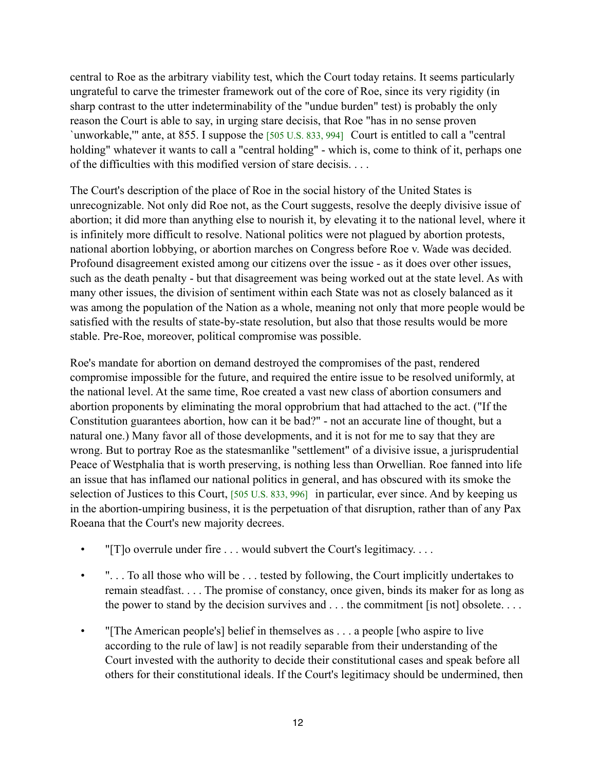central to Roe as the arbitrary viability test, which the Court today retains. It seems particularly ungrateful to carve the trimester framework out of the core of Roe, since its very rigidity (in sharp contrast to the utter indeterminability of the "undue burden" test) is probably the only reason the Court is able to say, in urging stare decisis, that Roe "has in no sense proven `unworkable,'" ante, at 855. I suppose the [505 U.S. 833, 994] Court is entitled to call a "central holding" whatever it wants to call a "central holding" - which is, come to think of it, perhaps one of the difficulties with this modified version of stare decisis. . . .

The Court's description of the place of Roe in the social history of the United States is unrecognizable. Not only did Roe not, as the Court suggests, resolve the deeply divisive issue of abortion; it did more than anything else to nourish it, by elevating it to the national level, where it is infinitely more difficult to resolve. National politics were not plagued by abortion protests, national abortion lobbying, or abortion marches on Congress before Roe v. Wade was decided. Profound disagreement existed among our citizens over the issue - as it does over other issues, such as the death penalty - but that disagreement was being worked out at the state level. As with many other issues, the division of sentiment within each State was not as closely balanced as it was among the population of the Nation as a whole, meaning not only that more people would be satisfied with the results of state-by-state resolution, but also that those results would be more stable. Pre-Roe, moreover, political compromise was possible.

Roe's mandate for abortion on demand destroyed the compromises of the past, rendered compromise impossible for the future, and required the entire issue to be resolved uniformly, at the national level. At the same time, Roe created a vast new class of abortion consumers and abortion proponents by eliminating the moral opprobrium that had attached to the act. ("If the Constitution guarantees abortion, how can it be bad?" - not an accurate line of thought, but a natural one.) Many favor all of those developments, and it is not for me to say that they are wrong. But to portray Roe as the statesmanlike "settlement" of a divisive issue, a jurisprudential Peace of Westphalia that is worth preserving, is nothing less than Orwellian. Roe fanned into life an issue that has inflamed our national politics in general, and has obscured with its smoke the selection of Justices to this Court, [505 U.S. 833, 996] in particular, ever since. And by keeping us in the abortion-umpiring business, it is the perpetuation of that disruption, rather than of any Pax Roeana that the Court's new majority decrees.

- "[T]o overrule under fire . . . would subvert the Court's legitimacy. . . .
- "... To all those who will be ... tested by following, the Court implicitly undertakes to remain steadfast. . . . The promise of constancy, once given, binds its maker for as long as the power to stand by the decision survives and . . . the commitment [is not] obsolete. . . .
- "[The American people's] belief in themselves as . . . a people [who aspire to live according to the rule of law] is not readily separable from their understanding of the Court invested with the authority to decide their constitutional cases and speak before all others for their constitutional ideals. If the Court's legitimacy should be undermined, then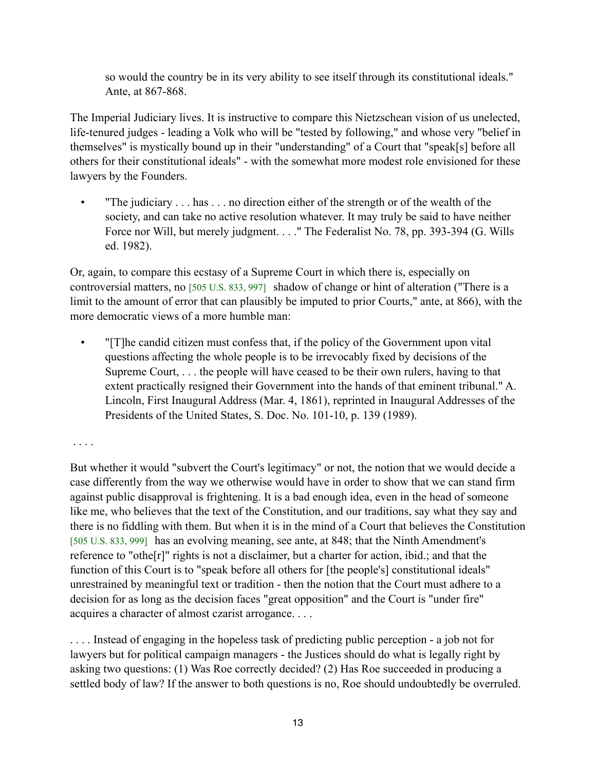so would the country be in its very ability to see itself through its constitutional ideals." Ante, at 867-868.

The Imperial Judiciary lives. It is instructive to compare this Nietzschean vision of us unelected, life-tenured judges - leading a Volk who will be "tested by following," and whose very "belief in themselves" is mystically bound up in their "understanding" of a Court that "speak[s] before all others for their constitutional ideals" - with the somewhat more modest role envisioned for these lawyers by the Founders.

"The judiciary  $\dots$  has  $\dots$  no direction either of the strength or of the wealth of the society, and can take no active resolution whatever. It may truly be said to have neither Force nor Will, but merely judgment. . . . " The Federalist No. 78, pp. 393-394 (G. Wills ed. 1982).

Or, again, to compare this ecstasy of a Supreme Court in which there is, especially on controversial matters, no [505 U.S. 833, 997] shadow of change or hint of alteration ("There is a limit to the amount of error that can plausibly be imputed to prior Courts," ante, at 866), with the more democratic views of a more humble man:

• "[T]he candid citizen must confess that, if the policy of the Government upon vital questions affecting the whole people is to be irrevocably fixed by decisions of the Supreme Court, . . . the people will have ceased to be their own rulers, having to that extent practically resigned their Government into the hands of that eminent tribunal." A. Lincoln, First Inaugural Address (Mar. 4, 1861), reprinted in Inaugural Addresses of the Presidents of the United States, S. Doc. No. 101-10, p. 139 (1989).

. . . .

But whether it would "subvert the Court's legitimacy" or not, the notion that we would decide a case differently from the way we otherwise would have in order to show that we can stand firm against public disapproval is frightening. It is a bad enough idea, even in the head of someone like me, who believes that the text of the Constitution, and our traditions, say what they say and there is no fiddling with them. But when it is in the mind of a Court that believes the Constitution [505 U.S. 833, 999] has an evolving meaning, see ante, at 848; that the Ninth Amendment's reference to "othe[r]" rights is not a disclaimer, but a charter for action, ibid.; and that the function of this Court is to "speak before all others for [the people's] constitutional ideals" unrestrained by meaningful text or tradition - then the notion that the Court must adhere to a decision for as long as the decision faces "great opposition" and the Court is "under fire" acquires a character of almost czarist arrogance. . . .

. . . . Instead of engaging in the hopeless task of predicting public perception - a job not for lawyers but for political campaign managers - the Justices should do what is legally right by asking two questions: (1) Was Roe correctly decided? (2) Has Roe succeeded in producing a settled body of law? If the answer to both questions is no, Roe should undoubtedly be overruled.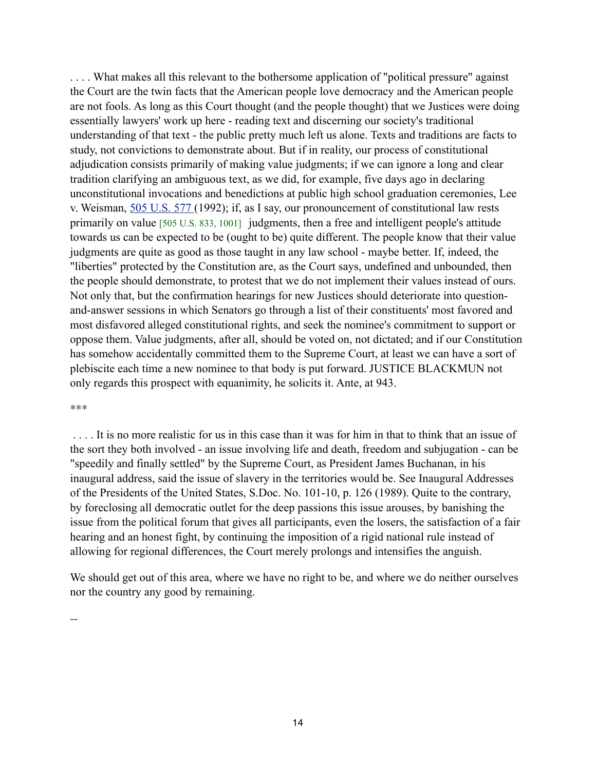. . . . What makes all this relevant to the bothersome application of "political pressure" against the Court are the twin facts that the American people love democracy and the American people are not fools. As long as this Court thought (and the people thought) that we Justices were doing essentially lawyers' work up here - reading text and discerning our society's traditional understanding of that text - the public pretty much left us alone. Texts and traditions are facts to study, not convictions to demonstrate about. But if in reality, our process of constitutional adjudication consists primarily of making value judgments; if we can ignore a long and clear tradition clarifying an ambiguous text, as we did, for example, five days ago in declaring unconstitutional invocations and benedictions at public high school graduation ceremonies, Lee v. Weisman, [505 U.S. 577 \(](http://caselaw.lp.findlaw.com/cgi-bin/getcase.pl?navby=case&court=us&vol=505&invol=577)1992); if, as I say, our pronouncement of constitutional law rests primarily on value [505 U.S. 833, 1001] judgments, then a free and intelligent people's attitude towards us can be expected to be (ought to be) quite different. The people know that their value judgments are quite as good as those taught in any law school - maybe better. If, indeed, the "liberties" protected by the Constitution are, as the Court says, undefined and unbounded, then the people should demonstrate, to protest that we do not implement their values instead of ours. Not only that, but the confirmation hearings for new Justices should deteriorate into questionand-answer sessions in which Senators go through a list of their constituents' most favored and most disfavored alleged constitutional rights, and seek the nominee's commitment to support or oppose them. Value judgments, after all, should be voted on, not dictated; and if our Constitution has somehow accidentally committed them to the Supreme Court, at least we can have a sort of plebiscite each time a new nominee to that body is put forward. JUSTICE BLACKMUN not only regards this prospect with equanimity, he solicits it. Ante, at 943.

#### \*\*\*

 . . . . It is no more realistic for us in this case than it was for him in that to think that an issue of the sort they both involved - an issue involving life and death, freedom and subjugation - can be "speedily and finally settled" by the Supreme Court, as President James Buchanan, in his inaugural address, said the issue of slavery in the territories would be. See Inaugural Addresses of the Presidents of the United States, S.Doc. No. 101-10, p. 126 (1989). Quite to the contrary, by foreclosing all democratic outlet for the deep passions this issue arouses, by banishing the issue from the political forum that gives all participants, even the losers, the satisfaction of a fair hearing and an honest fight, by continuing the imposition of a rigid national rule instead of allowing for regional differences, the Court merely prolongs and intensifies the anguish.

We should get out of this area, where we have no right to be, and where we do neither ourselves nor the country any good by remaining.

--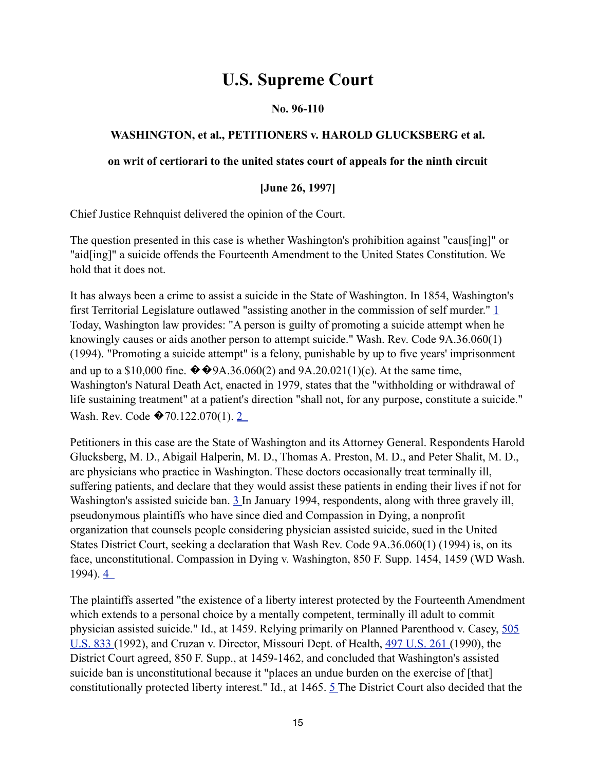## **U.S. Supreme Court**

#### **No. 96-110**

#### **WASHINGTON, et al., PETITIONERS v. HAROLD GLUCKSBERG et al.**

#### **on writ of certiorari to the united states court of appeals for the ninth circuit**

#### **[June 26, 1997]**

Chief Justice Rehnquist delivered the opinion of the Court.

The question presented in this case is whether Washington's prohibition against "caus[ing]" or "aid[ing]" a suicide offends the Fourteenth Amendment to the United States Constitution. We hold that it does not.

It has always been a crime to assist a suicide in the State of Washington. In 1854, Washington's first Territorial Legislature outlawed "assisting another in the commission of self murder."  $\frac{1}{1}$ Today, Washington law provides: "A person is guilty of promoting a suicide attempt when he knowingly causes or aids another person to attempt suicide." Wash. Rev. Code 9A.36.060(1) (1994). "Promoting a suicide attempt" is a felony, punishable by up to five years' imprisonment and up to a \$10,000 fine.  $\blacklozenge \blacklozenge 9A.36.060(2)$  and  $9A.20.021(1)(c)$ . At the same time, Washington's Natural Death Act, enacted in 1979, states that the "withholding or withdrawal of life sustaining treatment" at a patient's direction "shall not, for any purpose, constitute a suicide." Wash. Rev. Code �70.122.070(1). 2

Petitioners in this case are the State of Washington and its Attorney General. Respondents Harold Glucksberg, M. D., Abigail Halperin, M. D., Thomas A. Preston, M. D., and Peter Shalit, M. D., are physicians who practice in Washington. These doctors occasionally treat terminally ill, suffering patients, and declare that they would assist these patients in ending their lives if not for Washington's assisted suicide ban. [3 I](http://caselaw.lp.findlaw.com/scripts/getcase.pl?court=US&vol=521&invol=702#f3f2)n January 1994, respondents, along with three gravely ill, pseudonymous plaintiffs who have since died and Compassion in Dying, a nonprofit organization that counsels people considering physician assisted suicide, sued in the United States District Court, seeking a declaration that Wash Rev. Code 9A.36.060(1) (1994) is, on its face, unconstitutional. Compassion in Dying v. Washington, 850 F. Supp. 1454, 1459 (WD Wash. 1994). [4](http://caselaw.lp.findlaw.com/scripts/getcase.pl?court=US&vol=521&invol=702#f4f2) 

The plaintiffs asserted "the existence of a liberty interest protected by the Fourteenth Amendment which extends to a personal choice by a mentally competent, terminally ill adult to commit physician assisted suicide." Id., at 1459. Relying primarily on Planned Parenthood v. Casey, [505](http://caselaw.lp.findlaw.com/cgi-bin/getcase.pl?court=us&vol=505&invol=833)  [U.S. 833](http://caselaw.lp.findlaw.com/cgi-bin/getcase.pl?court=us&vol=505&invol=833) (1992), and Cruzan v. Director, Missouri Dept. of Health, [497 U.S. 261](http://caselaw.lp.findlaw.com/cgi-bin/getcase.pl?court=us&vol=497&invol=261) (1990), the District Court agreed, 850 F. Supp., at 1459-1462, and concluded that Washington's assisted suicide ban is unconstitutional because it "places an undue burden on the exercise of [that] constitutionally protected liberty interest." Id., at 1465. [5](http://caselaw.lp.findlaw.com/scripts/getcase.pl?court=US&vol=521&invol=702#f5f2) The District Court also decided that the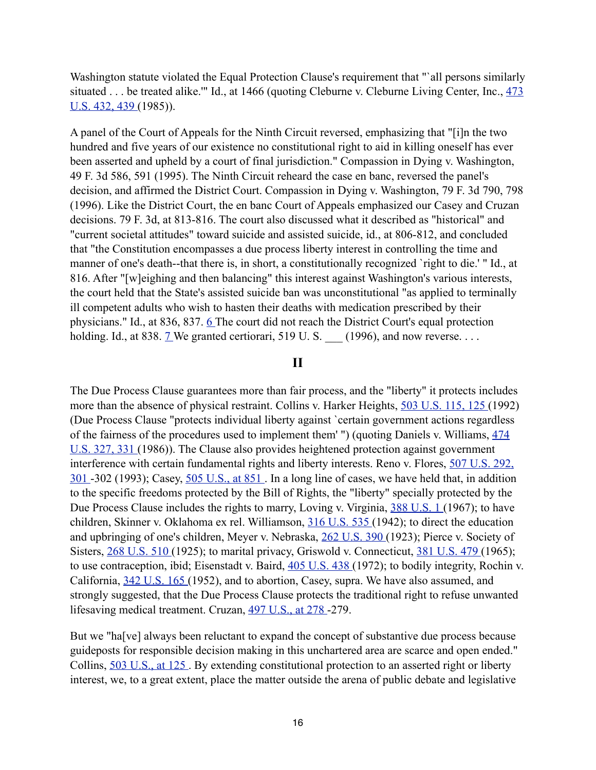Washington statute violated the Equal Protection Clause's requirement that "`all persons similarly situated . . . be treated alike." Id., at 1466 (quoting Cleburne v. Cleburne Living Center, Inc., [473](http://caselaw.lp.findlaw.com/cgi-bin/getcase.pl?court=us&vol=473&invol=432#439) [U.S. 432, 439](http://caselaw.lp.findlaw.com/cgi-bin/getcase.pl?court=us&vol=473&invol=432#439) (1985)).

A panel of the Court of Appeals for the Ninth Circuit reversed, emphasizing that "[i]n the two hundred and five years of our existence no constitutional right to aid in killing oneself has ever been asserted and upheld by a court of final jurisdiction." Compassion in Dying v. Washington, 49 F. 3d 586, 591 (1995). The Ninth Circuit reheard the case en banc, reversed the panel's decision, and affirmed the District Court. Compassion in Dying v. Washington, 79 F. 3d 790, 798 (1996). Like the District Court, the en banc Court of Appeals emphasized our Casey and Cruzan decisions. 79 F. 3d, at 813-816. The court also discussed what it described as "historical" and "current societal attitudes" toward suicide and assisted suicide, id., at 806-812, and concluded that "the Constitution encompasses a due process liberty interest in controlling the time and manner of one's death--that there is, in short, a constitutionally recognized `right to die.' " Id., at 816. After "[w]eighing and then balancing" this interest against Washington's various interests, the court held that the State's assisted suicide ban was unconstitutional "as applied to terminally ill competent adults who wish to hasten their deaths with medication prescribed by their physicians." Id., at 836, 837. [6 T](http://caselaw.lp.findlaw.com/scripts/getcase.pl?court=US&vol=521&invol=702#f6f2)he court did not reach the District Court's equal protection holding. Id., at 838.  $\angle$ We granted certiorari, 519 U.S.  $\angle$  (1996), and now reverse...

#### **II**

The Due Process Clause guarantees more than fair process, and the "liberty" it protects includes more than the absence of physical restraint. Collins v. Harker Heights, [503 U.S. 115, 125 \(](http://caselaw.lp.findlaw.com/cgi-bin/getcase.pl?court=us&vol=503&invol=115#125)1992) (Due Process Clause "protects individual liberty against `certain government actions regardless of the fairness of the procedures used to implement them' ") (quoting Daniels v. Williams, [474](http://caselaw.lp.findlaw.com/cgi-bin/getcase.pl?court=us&vol=474&invol=327#331)  [U.S. 327, 331](http://caselaw.lp.findlaw.com/cgi-bin/getcase.pl?court=us&vol=474&invol=327#331) (1986)). The Clause also provides heightened protection against government interference with certain fundamental rights and liberty interests. Reno v. Flores, [507 U.S. 292,](http://caselaw.lp.findlaw.com/cgi-bin/getcase.pl?court=us&vol=507&invol=292#301)  [301](http://caselaw.lp.findlaw.com/cgi-bin/getcase.pl?court=us&vol=507&invol=292#301) -302 (1993); Casey, [505 U.S., at 851 .](http://caselaw.lp.findlaw.com/cgi-bin/getcase.pl?navby=volpage&court=us&vol=505&page=851#851) In a long line of cases, we have held that, in addition to the specific freedoms protected by the Bill of Rights, the "liberty" specially protected by the Due Process Clause includes the rights to marry, Loving v. Virginia, [388 U.S. 1 \(](http://caselaw.lp.findlaw.com/cgi-bin/getcase.pl?court=us&vol=388&invol=1)1967); to have children, Skinner v. Oklahoma ex rel. Williamson, [316 U.S. 535](http://caselaw.lp.findlaw.com/cgi-bin/getcase.pl?court=us&vol=316&invol=535) (1942); to direct the education and upbringing of one's children, Meyer v. Nebraska, [262 U.S. 390 \(](http://caselaw.lp.findlaw.com/cgi-bin/getcase.pl?court=us&vol=262&invol=390)1923); Pierce v. Society of Sisters, [268 U.S. 510](http://caselaw.lp.findlaw.com/cgi-bin/getcase.pl?court=us&vol=268&invol=510) (1925); to marital privacy, Griswold v. Connecticut, [381 U.S. 479](http://caselaw.lp.findlaw.com/cgi-bin/getcase.pl?court=us&vol=381&invol=479) (1965); to use contraception, ibid; Eisenstadt v. Baird, [405 U.S. 438](http://caselaw.lp.findlaw.com/cgi-bin/getcase.pl?court=us&vol=405&invol=438) (1972); to bodily integrity, Rochin v. California, [342 U.S. 165 \(](http://caselaw.lp.findlaw.com/cgi-bin/getcase.pl?court=us&vol=342&invol=165)1952), and to abortion, Casey, supra. We have also assumed, and strongly suggested, that the Due Process Clause protects the traditional right to refuse unwanted lifesaving medical treatment. Cruzan, [497 U.S., at 278](http://caselaw.lp.findlaw.com/cgi-bin/getcase.pl?navby=volpage&court=us&vol=497&page=278#278) -279.

But we "ha[ve] always been reluctant to expand the concept of substantive due process because guideposts for responsible decision making in this unchartered area are scarce and open ended." Collins, [503 U.S., at 125 .](http://caselaw.lp.findlaw.com/cgi-bin/getcase.pl?navby=volpage&court=us&vol=503&page=125#125) By extending constitutional protection to an asserted right or liberty interest, we, to a great extent, place the matter outside the arena of public debate and legislative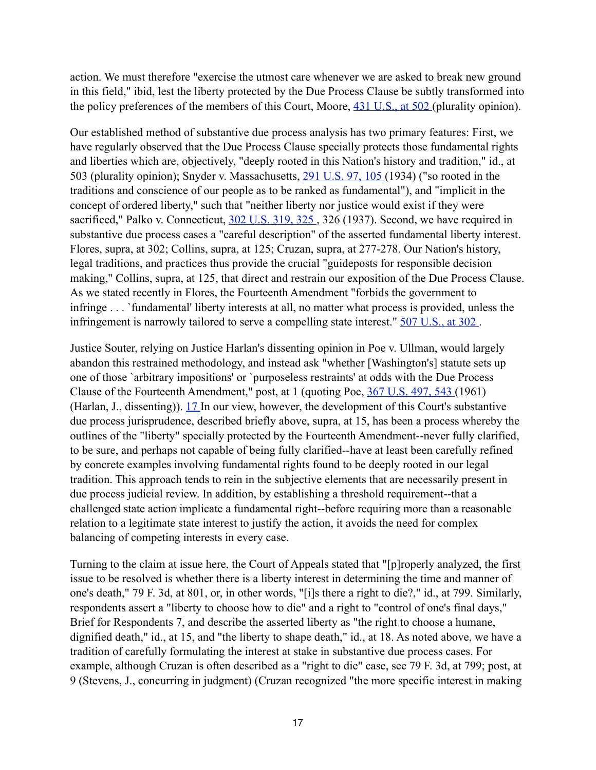action. We must therefore "exercise the utmost care whenever we are asked to break new ground in this field," ibid, lest the liberty protected by the Due Process Clause be subtly transformed into the policy preferences of the members of this Court, Moore,  $431$  U.S., at 502 (plurality opinion).

Our established method of substantive due process analysis has two primary features: First, we have regularly observed that the Due Process Clause specially protects those fundamental rights and liberties which are, objectively, "deeply rooted in this Nation's history and tradition," id., at 503 (plurality opinion); Snyder v. Massachusetts, [291 U.S. 97, 105 \(](http://caselaw.lp.findlaw.com/cgi-bin/getcase.pl?court=us&vol=291&invol=97#105)1934) ("so rooted in the traditions and conscience of our people as to be ranked as fundamental"), and "implicit in the concept of ordered liberty," such that "neither liberty nor justice would exist if they were sacrificed," Palko v. Connecticut, 302 U.S. 319, 325, 326 (1937). Second, we have required in substantive due process cases a "careful description" of the asserted fundamental liberty interest. Flores, supra, at 302; Collins, supra, at 125; Cruzan, supra, at 277-278. Our Nation's history, legal traditions, and practices thus provide the crucial "guideposts for responsible decision making," Collins, supra, at 125, that direct and restrain our exposition of the Due Process Clause. As we stated recently in Flores, the Fourteenth Amendment "forbids the government to infringe . . . `fundamental' liberty interests at all, no matter what process is provided, unless the infringement is narrowly tailored to serve a compelling state interest." [507 U.S., at 302](http://caselaw.lp.findlaw.com/cgi-bin/getcase.pl?navby=volpage&court=us&vol=507&page=302#302) .

Justice Souter, relying on Justice Harlan's dissenting opinion in Poe v. Ullman, would largely abandon this restrained methodology, and instead ask "whether [Washington's] statute sets up one of those `arbitrary impositions' or `purposeless restraints' at odds with the Due Process Clause of the Fourteenth Amendment," post, at 1 (quoting Poe, [367 U.S. 497, 543 \(](http://caselaw.lp.findlaw.com/cgi-bin/getcase.pl?court=us&vol=367&invol=497#543)1961) (Harlan, J., dissenting)). [17 I](http://caselaw.lp.findlaw.com/scripts/getcase.pl?court=US&vol=521&invol=702#f17f2)n our view, however, the development of this Court's substantive due process jurisprudence, described briefly above, supra, at 15, has been a process whereby the outlines of the "liberty" specially protected by the Fourteenth Amendment--never fully clarified, to be sure, and perhaps not capable of being fully clarified--have at least been carefully refined by concrete examples involving fundamental rights found to be deeply rooted in our legal tradition. This approach tends to rein in the subjective elements that are necessarily present in due process judicial review. In addition, by establishing a threshold requirement--that a challenged state action implicate a fundamental right--before requiring more than a reasonable relation to a legitimate state interest to justify the action, it avoids the need for complex balancing of competing interests in every case.

Turning to the claim at issue here, the Court of Appeals stated that "[p]roperly analyzed, the first issue to be resolved is whether there is a liberty interest in determining the time and manner of one's death," 79 F. 3d, at 801, or, in other words, "[i]s there a right to die?," id., at 799. Similarly, respondents assert a "liberty to choose how to die" and a right to "control of one's final days," Brief for Respondents 7, and describe the asserted liberty as "the right to choose a humane, dignified death," id., at 15, and "the liberty to shape death," id., at 18. As noted above, we have a tradition of carefully formulating the interest at stake in substantive due process cases. For example, although Cruzan is often described as a "right to die" case, see 79 F. 3d, at 799; post, at 9 (Stevens, J., concurring in judgment) (Cruzan recognized "the more specific interest in making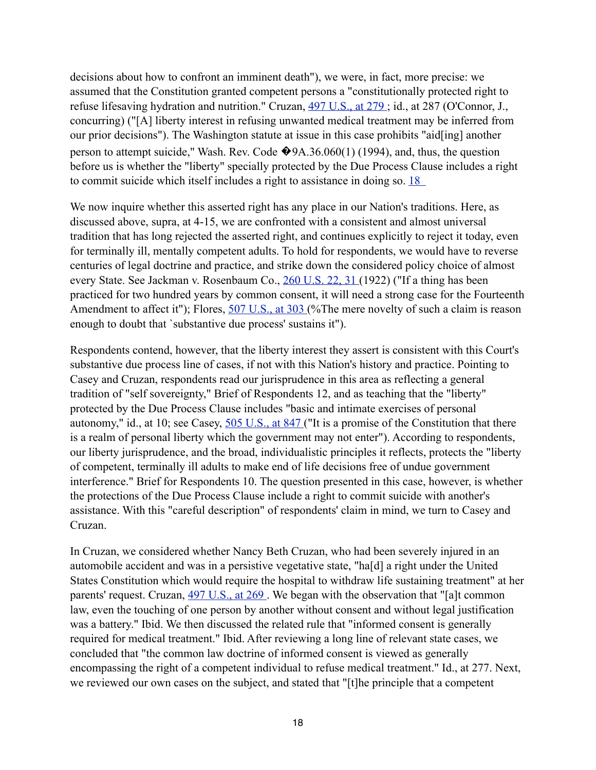decisions about how to confront an imminent death"), we were, in fact, more precise: we assumed that the Constitution granted competent persons a "constitutionally protected right to refuse lifesaving hydration and nutrition." Cruzan, [497 U.S., at 279 ;](http://caselaw.lp.findlaw.com/cgi-bin/getcase.pl?navby=volpage&court=us&vol=497&page=279#279) id., at 287 (O'Connor, J., concurring) ("[A] liberty interest in refusing unwanted medical treatment may be inferred from our prior decisions"). The Washington statute at issue in this case prohibits "aid[ing] another person to attempt suicide," Wash. Rev. Code  $\bigotimes$ 9A.36.060(1) (1994), and, thus, the question before us is whether the "liberty" specially protected by the Due Process Clause includes a right to commit suicide which itself includes a right to assistance in doing so. 18

We now inquire whether this asserted right has any place in our Nation's traditions. Here, as discussed above, supra, at 4-15, we are confronted with a consistent and almost universal tradition that has long rejected the asserted right, and continues explicitly to reject it today, even for terminally ill, mentally competent adults. To hold for respondents, we would have to reverse centuries of legal doctrine and practice, and strike down the considered policy choice of almost every State. See Jackman v. Rosenbaum Co., [260 U.S. 22, 31](http://caselaw.lp.findlaw.com/cgi-bin/getcase.pl?court=us&vol=260&invol=22#31) (1922) ("If a thing has been practiced for two hundred years by common consent, it will need a strong case for the Fourteenth Amendment to affect it"); Flores, [507 U.S., at 303 \(](http://caselaw.lp.findlaw.com/cgi-bin/getcase.pl?navby=volpage&court=us&vol=507&page=303#303)%The mere novelty of such a claim is reason enough to doubt that `substantive due process' sustains it").

Respondents contend, however, that the liberty interest they assert is consistent with this Court's substantive due process line of cases, if not with this Nation's history and practice. Pointing to Casey and Cruzan, respondents read our jurisprudence in this area as reflecting a general tradition of "self sovereignty," Brief of Respondents 12, and as teaching that the "liberty" protected by the Due Process Clause includes "basic and intimate exercises of personal autonomy," id., at 10; see Casey, [505 U.S., at 847](http://caselaw.lp.findlaw.com/cgi-bin/getcase.pl?navby=volpage&court=us&vol=505&page=847#847) ("It is a promise of the Constitution that there is a realm of personal liberty which the government may not enter"). According to respondents, our liberty jurisprudence, and the broad, individualistic principles it reflects, protects the "liberty of competent, terminally ill adults to make end of life decisions free of undue government interference." Brief for Respondents 10. The question presented in this case, however, is whether the protections of the Due Process Clause include a right to commit suicide with another's assistance. With this "careful description" of respondents' claim in mind, we turn to Casey and Cruzan.

In Cruzan, we considered whether Nancy Beth Cruzan, who had been severely injured in an automobile accident and was in a persistive vegetative state, "ha[d] a right under the United States Constitution which would require the hospital to withdraw life sustaining treatment" at her parents' request. Cruzan, 497 U.S., at 269. We began with the observation that "[a]t common law, even the touching of one person by another without consent and without legal justification was a battery." Ibid. We then discussed the related rule that "informed consent is generally required for medical treatment." Ibid. After reviewing a long line of relevant state cases, we concluded that "the common law doctrine of informed consent is viewed as generally encompassing the right of a competent individual to refuse medical treatment." Id., at 277. Next, we reviewed our own cases on the subject, and stated that "[t]he principle that a competent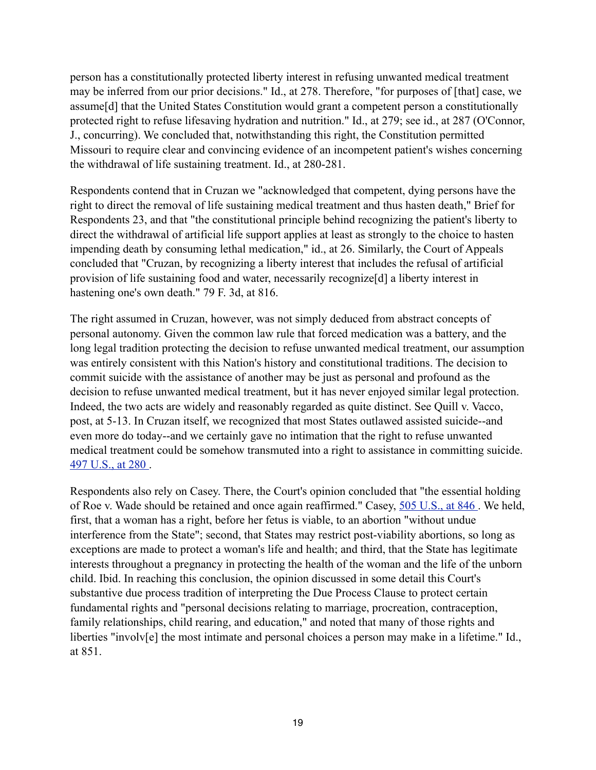person has a constitutionally protected liberty interest in refusing unwanted medical treatment may be inferred from our prior decisions." Id., at 278. Therefore, "for purposes of [that] case, we assume[d] that the United States Constitution would grant a competent person a constitutionally protected right to refuse lifesaving hydration and nutrition." Id., at 279; see id., at 287 (O'Connor, J., concurring). We concluded that, notwithstanding this right, the Constitution permitted Missouri to require clear and convincing evidence of an incompetent patient's wishes concerning the withdrawal of life sustaining treatment. Id., at 280-281.

Respondents contend that in Cruzan we "acknowledged that competent, dying persons have the right to direct the removal of life sustaining medical treatment and thus hasten death," Brief for Respondents 23, and that "the constitutional principle behind recognizing the patient's liberty to direct the withdrawal of artificial life support applies at least as strongly to the choice to hasten impending death by consuming lethal medication," id., at 26. Similarly, the Court of Appeals concluded that "Cruzan, by recognizing a liberty interest that includes the refusal of artificial provision of life sustaining food and water, necessarily recognize[d] a liberty interest in hastening one's own death." 79 F. 3d, at 816.

The right assumed in Cruzan, however, was not simply deduced from abstract concepts of personal autonomy. Given the common law rule that forced medication was a battery, and the long legal tradition protecting the decision to refuse unwanted medical treatment, our assumption was entirely consistent with this Nation's history and constitutional traditions. The decision to commit suicide with the assistance of another may be just as personal and profound as the decision to refuse unwanted medical treatment, but it has never enjoyed similar legal protection. Indeed, the two acts are widely and reasonably regarded as quite distinct. See Quill v. Vacco, post, at 5-13. In Cruzan itself, we recognized that most States outlawed assisted suicide--and even more do today--and we certainly gave no intimation that the right to refuse unwanted medical treatment could be somehow transmuted into a right to assistance in committing suicide. [497 U.S., at 280](http://caselaw.lp.findlaw.com/cgi-bin/getcase.pl?navby=volpage&court=us&vol=497&page=280#280) .

Respondents also rely on Casey. There, the Court's opinion concluded that "the essential holding of Roe v. Wade should be retained and once again reaffirmed." Casey, [505 U.S., at 846](http://caselaw.lp.findlaw.com/cgi-bin/getcase.pl?navby=volpage&court=us&vol=505&page=846#846) . We held, first, that a woman has a right, before her fetus is viable, to an abortion "without undue interference from the State"; second, that States may restrict post-viability abortions, so long as exceptions are made to protect a woman's life and health; and third, that the State has legitimate interests throughout a pregnancy in protecting the health of the woman and the life of the unborn child. Ibid. In reaching this conclusion, the opinion discussed in some detail this Court's substantive due process tradition of interpreting the Due Process Clause to protect certain fundamental rights and "personal decisions relating to marriage, procreation, contraception, family relationships, child rearing, and education," and noted that many of those rights and liberties "involv[e] the most intimate and personal choices a person may make in a lifetime." Id., at 851.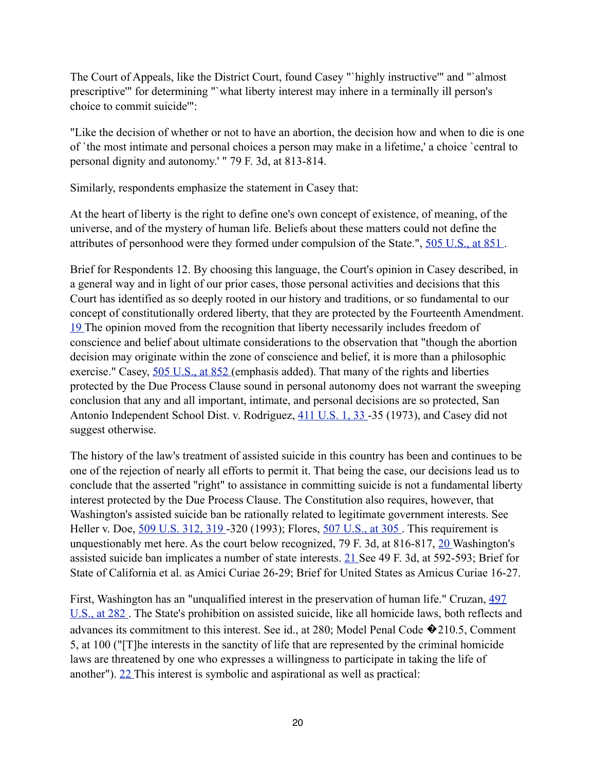The Court of Appeals, like the District Court, found Casey "`highly instructive'" and "`almost prescriptive'" for determining "`what liberty interest may inhere in a terminally ill person's choice to commit suicide'":

"Like the decision of whether or not to have an abortion, the decision how and when to die is one of `the most intimate and personal choices a person may make in a lifetime,' a choice `central to personal dignity and autonomy.' " 79 F. 3d, at 813-814.

Similarly, respondents emphasize the statement in Casey that:

At the heart of liberty is the right to define one's own concept of existence, of meaning, of the universe, and of the mystery of human life. Beliefs about these matters could not define the attributes of personhood were they formed under compulsion of the State.", [505 U.S., at 851](http://caselaw.lp.findlaw.com/cgi-bin/getcase.pl?navby=volpage&court=us&vol=505&page=851#851) .

Brief for Respondents 12. By choosing this language, the Court's opinion in Casey described, in a general way and in light of our prior cases, those personal activities and decisions that this Court has identified as so deeply rooted in our history and traditions, or so fundamental to our concept of constitutionally ordered liberty, that they are protected by the Fourteenth Amendment. [19 T](http://caselaw.lp.findlaw.com/scripts/getcase.pl?court=US&vol=521&invol=702#f19f2)he opinion moved from the recognition that liberty necessarily includes freedom of conscience and belief about ultimate considerations to the observation that "though the abortion decision may originate within the zone of conscience and belief, it is more than a philosophic exercise." Casey, [505 U.S., at 852 \(](http://caselaw.lp.findlaw.com/cgi-bin/getcase.pl?navby=volpage&court=us&vol=505&page=852#852)emphasis added). That many of the rights and liberties protected by the Due Process Clause sound in personal autonomy does not warrant the sweeping conclusion that any and all important, intimate, and personal decisions are so protected, San Antonio Independent School Dist. v. Rodriguez, [411 U.S. 1, 33](http://caselaw.lp.findlaw.com/cgi-bin/getcase.pl?court=us&vol=411&invol=1#33) -35 (1973), and Casey did not suggest otherwise.

The history of the law's treatment of assisted suicide in this country has been and continues to be one of the rejection of nearly all efforts to permit it. That being the case, our decisions lead us to conclude that the asserted "right" to assistance in committing suicide is not a fundamental liberty interest protected by the Due Process Clause. The Constitution also requires, however, that Washington's assisted suicide ban be rationally related to legitimate government interests. See Heller v. Doe, [509 U.S. 312, 319 -](http://caselaw.lp.findlaw.com/cgi-bin/getcase.pl?court=us&vol=509&invol=312#319) 320 (1993); Flores, 507 U.S., at 305. This requirement is unquestionably met here. As the court below recognized, 79 F. 3d, at 816-817, [20](http://caselaw.lp.findlaw.com/scripts/getcase.pl?court=US&vol=521&invol=702#f20f2) Washington's assisted suicide ban implicates a number of state interests. [21 S](http://caselaw.lp.findlaw.com/scripts/getcase.pl?court=US&vol=521&invol=702#f21f2)ee 49 F. 3d, at 592-593; Brief for State of California et al. as Amici Curiae 26-29; Brief for United States as Amicus Curiae 16-27.

First, Washington has an "unqualified interest in the preservation of human life." Cruzan, [497](http://caselaw.lp.findlaw.com/cgi-bin/getcase.pl?navby=volpage&court=us&vol=497&page=282#282)  [U.S., at 282](http://caselaw.lp.findlaw.com/cgi-bin/getcase.pl?navby=volpage&court=us&vol=497&page=282#282) . The State's prohibition on assisted suicide, like all homicide laws, both reflects and advances its commitment to this interest. See id., at 280; Model Penal Code �210.5, Comment 5, at 100 ("[T]he interests in the sanctity of life that are represented by the criminal homicide laws are threatened by one who expresses a willingness to participate in taking the life of another"). [22 T](http://caselaw.lp.findlaw.com/scripts/getcase.pl?court=US&vol=521&invol=702#f22f2)his interest is symbolic and aspirational as well as practical: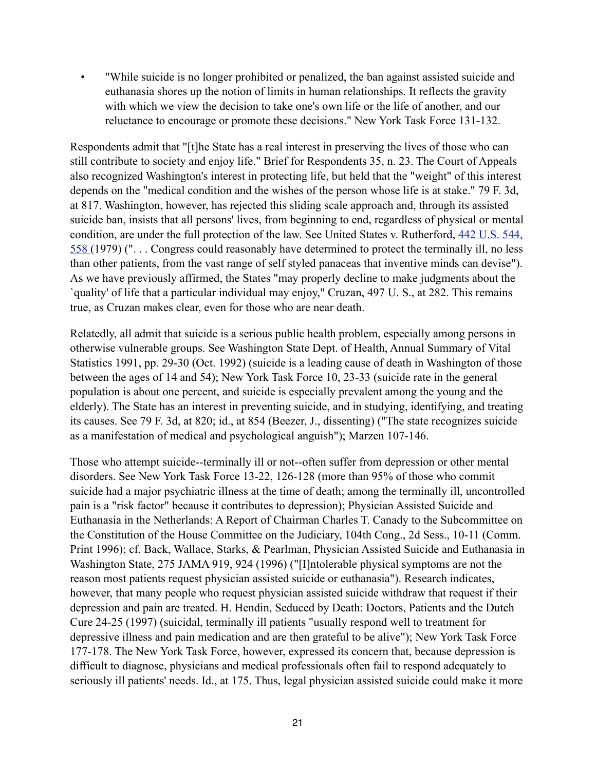• "While suicide is no longer prohibited or penalized, the ban against assisted suicide and euthanasia shores up the notion of limits in human relationships. It reflects the gravity with which we view the decision to take one's own life or the life of another, and our reluctance to encourage or promote these decisions." New York Task Force 131-132.

Respondents admit that "[t]he State has a real interest in preserving the lives of those who can still contribute to society and enjoy life." Brief for Respondents 35, n. 23. The Court of Appeals also recognized Washington's interest in protecting life, but held that the "weight" of this interest depends on the "medical condition and the wishes of the person whose life is at stake." 79 F. 3d, at 817. Washington, however, has rejected this sliding scale approach and, through its assisted suicide ban, insists that all persons' lives, from beginning to end, regardless of physical or mental condition, are under the full protection of the law. See United States v. Rutherford, [442 U.S. 544,](http://caselaw.lp.findlaw.com/cgi-bin/getcase.pl?court=us&vol=442&invol=544#558) [558](http://caselaw.lp.findlaw.com/cgi-bin/getcase.pl?court=us&vol=442&invol=544#558) (1979) (". . . Congress could reasonably have determined to protect the terminally ill, no less than other patients, from the vast range of self styled panaceas that inventive minds can devise"). As we have previously affirmed, the States "may properly decline to make judgments about the `quality' of life that a particular individual may enjoy," Cruzan, 497 U. S., at 282. This remains true, as Cruzan makes clear, even for those who are near death.

Relatedly, all admit that suicide is a serious public health problem, especially among persons in otherwise vulnerable groups. See Washington State Dept. of Health, Annual Summary of Vital Statistics 1991, pp. 29-30 (Oct. 1992) (suicide is a leading cause of death in Washington of those between the ages of 14 and 54); New York Task Force 10, 23-33 (suicide rate in the general population is about one percent, and suicide is especially prevalent among the young and the elderly). The State has an interest in preventing suicide, and in studying, identifying, and treating its causes. See 79 F. 3d, at 820; id., at 854 (Beezer, J., dissenting) ("The state recognizes suicide as a manifestation of medical and psychological anguish"); Marzen 107-146.

Those who attempt suicide--terminally ill or not--often suffer from depression or other mental disorders. See New York Task Force 13-22, 126-128 (more than 95% of those who commit suicide had a major psychiatric illness at the time of death; among the terminally ill, uncontrolled pain is a "risk factor" because it contributes to depression); Physician Assisted Suicide and Euthanasia in the Netherlands: A Report of Chairman Charles T. Canady to the Subcommittee on the Constitution of the House Committee on the Judiciary, 104th Cong., 2d Sess., 10-11 (Comm. Print 1996); cf. Back, Wallace, Starks, & Pearlman, Physician Assisted Suicide and Euthanasia in Washington State, 275 JAMA 919, 924 (1996) ("[I]ntolerable physical symptoms are not the reason most patients request physician assisted suicide or euthanasia"). Research indicates, however, that many people who request physician assisted suicide withdraw that request if their depression and pain are treated. H. Hendin, Seduced by Death: Doctors, Patients and the Dutch Cure 24-25 (1997) (suicidal, terminally ill patients "usually respond well to treatment for depressive illness and pain medication and are then grateful to be alive"); New York Task Force 177-178. The New York Task Force, however, expressed its concern that, because depression is difficult to diagnose, physicians and medical professionals often fail to respond adequately to seriously ill patients' needs. Id., at 175. Thus, legal physician assisted suicide could make it more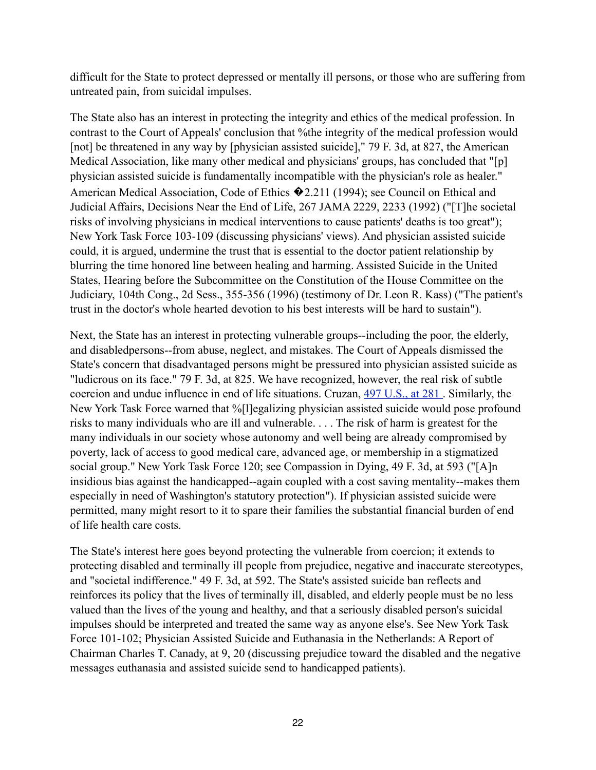difficult for the State to protect depressed or mentally ill persons, or those who are suffering from untreated pain, from suicidal impulses.

The State also has an interest in protecting the integrity and ethics of the medical profession. In contrast to the Court of Appeals' conclusion that %the integrity of the medical profession would [not] be threatened in any way by [physician assisted suicide]," 79 F. 3d, at 827, the American Medical Association, like many other medical and physicians' groups, has concluded that "[p] physician assisted suicide is fundamentally incompatible with the physician's role as healer." American Medical Association, Code of Ethics  $\hat{\mathbf{\triangledown}}$  2.211 (1994); see Council on Ethical and Judicial Affairs, Decisions Near the End of Life, 267 JAMA 2229, 2233 (1992) ("[T]he societal risks of involving physicians in medical interventions to cause patients' deaths is too great"); New York Task Force 103-109 (discussing physicians' views). And physician assisted suicide could, it is argued, undermine the trust that is essential to the doctor patient relationship by blurring the time honored line between healing and harming. Assisted Suicide in the United States, Hearing before the Subcommittee on the Constitution of the House Committee on the Judiciary, 104th Cong., 2d Sess., 355-356 (1996) (testimony of Dr. Leon R. Kass) ("The patient's trust in the doctor's whole hearted devotion to his best interests will be hard to sustain").

Next, the State has an interest in protecting vulnerable groups--including the poor, the elderly, and disabledpersons--from abuse, neglect, and mistakes. The Court of Appeals dismissed the State's concern that disadvantaged persons might be pressured into physician assisted suicide as "ludicrous on its face." 79 F. 3d, at 825. We have recognized, however, the real risk of subtle coercion and undue influence in end of life situations. Cruzan, [497 U.S., at 281 .](http://caselaw.lp.findlaw.com/cgi-bin/getcase.pl?navby=volpage&court=us&vol=497&page=281#281) Similarly, the New York Task Force warned that %[l]egalizing physician assisted suicide would pose profound risks to many individuals who are ill and vulnerable. . . . The risk of harm is greatest for the many individuals in our society whose autonomy and well being are already compromised by poverty, lack of access to good medical care, advanced age, or membership in a stigmatized social group." New York Task Force 120; see Compassion in Dying, 49 F. 3d, at 593 ("[A]n insidious bias against the handicapped--again coupled with a cost saving mentality--makes them especially in need of Washington's statutory protection"). If physician assisted suicide were permitted, many might resort to it to spare their families the substantial financial burden of end of life health care costs.

The State's interest here goes beyond protecting the vulnerable from coercion; it extends to protecting disabled and terminally ill people from prejudice, negative and inaccurate stereotypes, and "societal indifference." 49 F. 3d, at 592. The State's assisted suicide ban reflects and reinforces its policy that the lives of terminally ill, disabled, and elderly people must be no less valued than the lives of the young and healthy, and that a seriously disabled person's suicidal impulses should be interpreted and treated the same way as anyone else's. See New York Task Force 101-102; Physician Assisted Suicide and Euthanasia in the Netherlands: A Report of Chairman Charles T. Canady, at 9, 20 (discussing prejudice toward the disabled and the negative messages euthanasia and assisted suicide send to handicapped patients).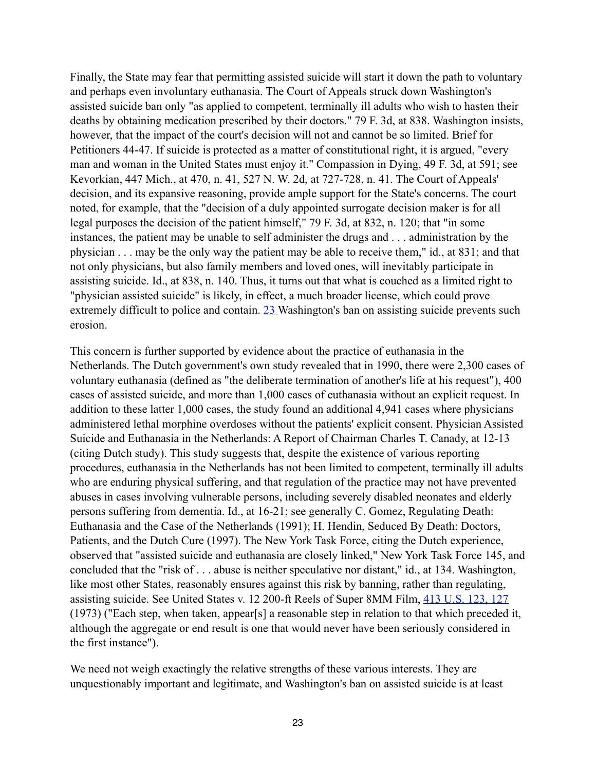Finally, the State may fear that permitting assisted suicide will start it down the path to voluntary and perhaps even involuntary euthanasia. The Court of Appeals struck down Washington's assisted suicide ban only "as applied to competent, terminally ill adults who wish to hasten their deaths by obtaining medication prescribed by their doctors." 79 F. 3d, at 838. Washington insists, however, that the impact of the court's decision will not and cannot be so limited. Brief for Petitioners 44-47. If suicide is protected as a matter of constitutional right, it is argued, "every man and woman in the United States must enjoy it." Compassion in Dying, 49 F. 3d, at 591; see Kevorkian, 447 Mich., at 470, n. 41, 527 N. W. 2d, at 727-728, n. 41. The Court of Appeals' decision, and its expansive reasoning, provide ample support for the State's concerns. The court noted, for example, that the "decision of a duly appointed surrogate decision maker is for all legal purposes the decision of the patient himself," 79 F. 3d, at 832, n. 120; that "in some instances, the patient may be unable to self administer the drugs and . . . administration by the physician . . . may be the only way the patient may be able to receive them," id., at 831; and that not only physicians, but also family members and loved ones, will inevitably participate in assisting suicide. Id., at 838, n. 140. Thus, it turns out that what is couched as a limited right to "physician assisted suicide" is likely, in effect, a much broader license, which could prove extremely difficult to police and contain. [23](http://caselaw.lp.findlaw.com/scripts/getcase.pl?court=US&vol=521&invol=702#f23f2) Washington's ban on assisting suicide prevents such erosion.

This concern is further supported by evidence about the practice of euthanasia in the Netherlands. The Dutch government's own study revealed that in 1990, there were 2,300 cases of voluntary euthanasia (defined as "the deliberate termination of another's life at his request"), 400 cases of assisted suicide, and more than 1,000 cases of euthanasia without an explicit request. In addition to these latter 1,000 cases, the study found an additional 4,941 cases where physicians administered lethal morphine overdoses without the patients' explicit consent. Physician Assisted Suicide and Euthanasia in the Netherlands: A Report of Chairman Charles T. Canady, at 12-13 (citing Dutch study). This study suggests that, despite the existence of various reporting procedures, euthanasia in the Netherlands has not been limited to competent, terminally ill adults who are enduring physical suffering, and that regulation of the practice may not have prevented abuses in cases involving vulnerable persons, including severely disabled neonates and elderly persons suffering from dementia. Id., at 16-21; see generally C. Gomez, Regulating Death: Euthanasia and the Case of the Netherlands (1991); H. Hendin, Seduced By Death: Doctors, Patients, and the Dutch Cure (1997). The New York Task Force, citing the Dutch experience, observed that "assisted suicide and euthanasia are closely linked," New York Task Force 145, and concluded that the "risk of . . . abuse is neither speculative nor distant," id., at 134. Washington, like most other States, reasonably ensures against this risk by banning, rather than regulating, assisting suicide. See United States v. 12 200-ft Reels of Super 8MM Film, [413 U.S. 123, 127](http://caselaw.lp.findlaw.com/cgi-bin/getcase.pl?court=us&vol=413&invol=123#127)  (1973) ("Each step, when taken, appear[s] a reasonable step in relation to that which preceded it, although the aggregate or end result is one that would never have been seriously considered in the first instance").

We need not weigh exactingly the relative strengths of these various interests. They are unquestionably important and legitimate, and Washington's ban on assisted suicide is at least